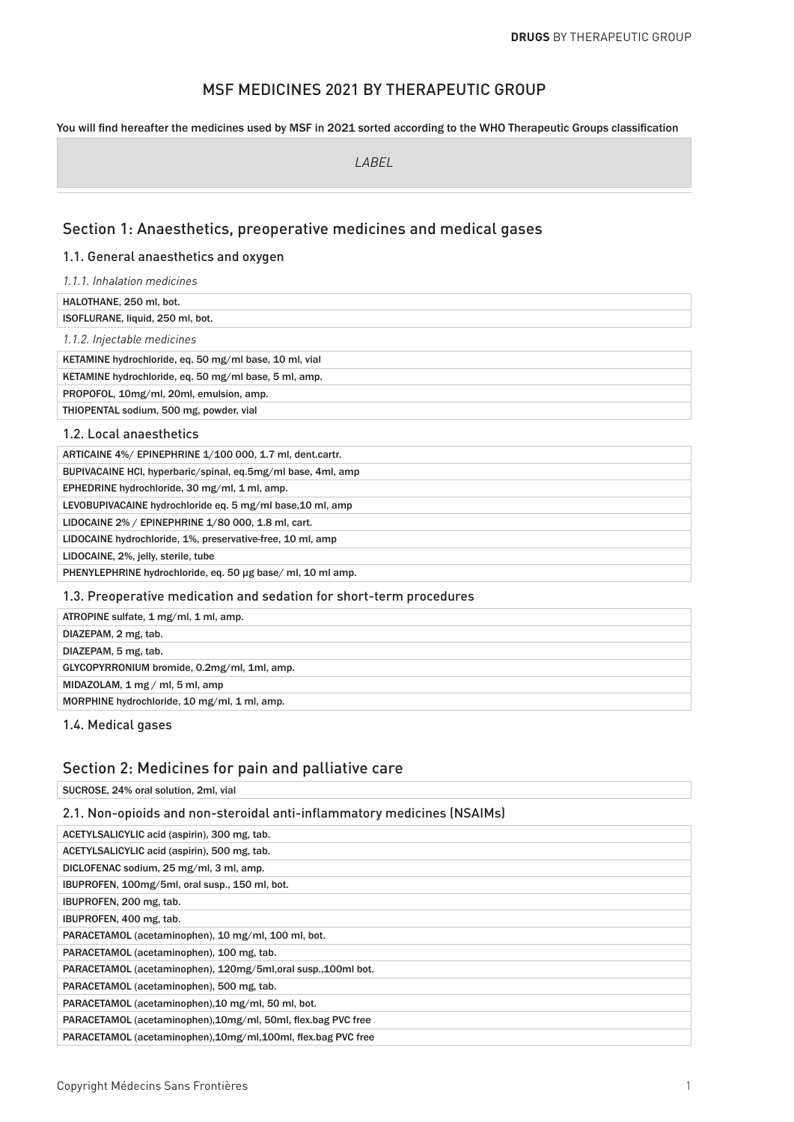# MSF MEDICINES 2021 BY THERAPEUTIC GROUP

#### You will find hereafter the medicines used by MSF in 2021 sorted according to the WHO Therapeutic Groups classification

*LABEL*

### Section 1: Anaesthetics, preoperative medicines and medical gases

#### 1.1. General anaesthetics and oxygen

*1.1.1. Inhalation medicines* HALOTHANE, 250 ml, bot. ISOFLURANE, liquid, 250 ml, bot. *1.1.2. Injectable medicines* KETAMINE hydrochloride, eq. 50 mg/ml base, 10 ml, vial KETAMINE hydrochloride, eq. 50 mg/ml base, 5 ml, amp. PROPOFOL, 10mg/ml, 20ml, emulsion, amp. THIOPENTAL sodium, 500 mg, powder, vial 1.2. Local anaesthetics ARTICAINE 4%/ EPINEPHRINE 1/100 000, 1.7 ml, dent.cartr. BUPIVACAINE HCl, hyperbaric/spinal, eq.5mg/ml base, 4ml, amp EPHEDRINE hydrochloride, 30 mg/ml, 1 ml, amp. LEVOBUPIVACAINE hydrochloride eq. 5 mg/ml base,10 ml, amp LIDOCAINE 2% / EPINEPHRINE 1/80 000, 1.8 ml, cart. LIDOCAINE hydrochloride, 1%, preservative-free, 10 ml, amp LIDOCAINE, 2%, jelly, sterile, tube PHENYLEPHRINE hydrochloride, eq. 50 µg base/ ml, 10 ml amp.

#### 1.3. Preoperative medication and sedation for short-term procedures

| ATROPINE sulfate, 1 mg/ml, 1 ml, amp.             |
|---------------------------------------------------|
| DIAZEPAM, 2 mg, tab.                              |
| DIAZEPAM, 5 mg, tab.                              |
| GLYCOPYRRONIUM bromide, 0.2mg/ml, 1ml, amp.       |
| MIDAZOLAM, $1 \text{ mg} / \text{ml}$ , 5 ml, amp |
| MORPHINE hydrochloride, 10 mg/ml, 1 ml, amp.      |
|                                                   |

1.4. Medical gases

### Section 2: Medicines for pain and palliative care

SUCROSE, 24% oral solution, 2ml, vial

#### 2.1. Non-opioids and non-steroidal anti-inflammatory medicines (NSAIMs)

| ACETYLSALICYLIC acid (aspirin), 300 mg, tab.                   |
|----------------------------------------------------------------|
| ACETYLSALICYLIC acid (aspirin), 500 mg, tab.                   |
| DICLOFENAC sodium, 25 mg/ml, 3 ml, amp.                        |
| IBUPROFEN, 100mg/5ml, oral susp., 150 ml, bot.                 |
| IBUPROFEN, 200 mg, tab.                                        |
| IBUPROFEN, 400 mg, tab.                                        |
| PARACETAMOL (acetaminophen), 10 mg/ml, 100 ml, bot.            |
| PARACETAMOL (acetaminophen), 100 mg, tab.                      |
| PARACETAMOL (acetaminophen), 120mg/5ml, oral susp., 100ml bot. |
| PARACETAMOL (acetaminophen), 500 mg, tab.                      |
| PARACETAMOL (acetaminophen), 10 mg/ml, 50 ml, bot.             |
| PARACETAMOL (acetaminophen), 10mg/ml, 50ml, flex.bag PVC free  |
| PARACETAMOL (acetaminophen), 10mg/ml, 100ml, flex.bag PVC free |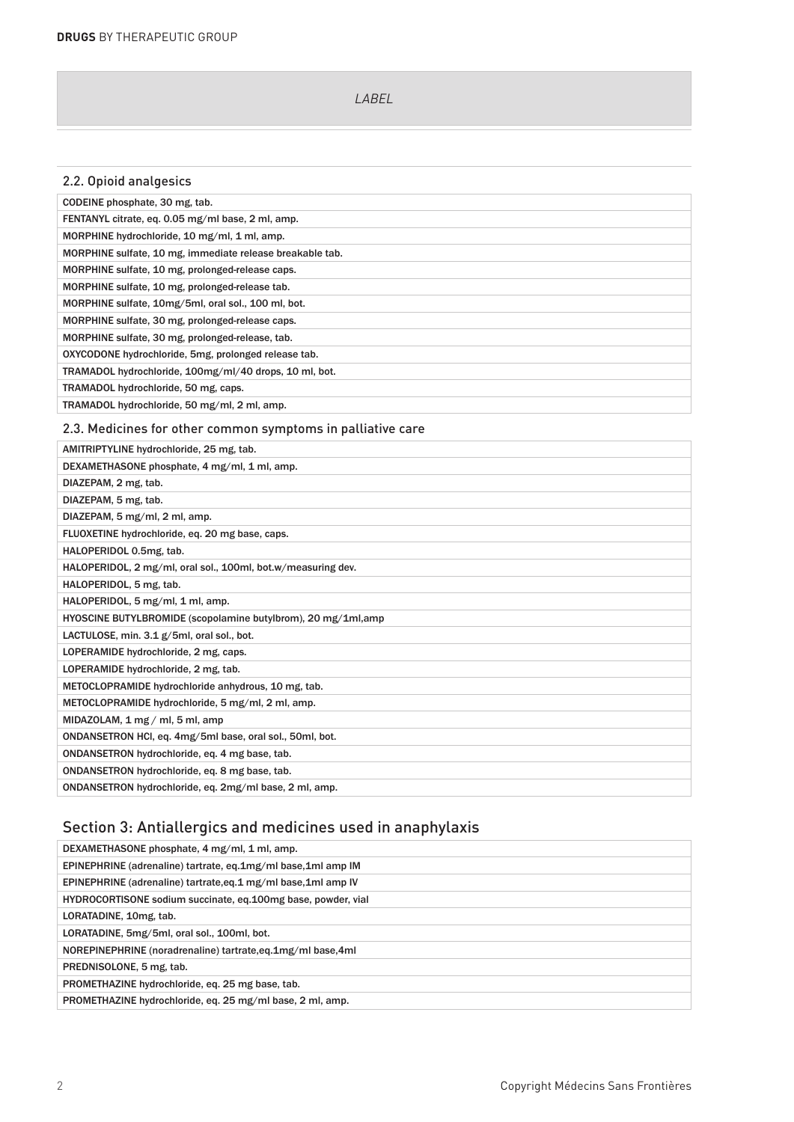### 2.3. Medicines for other common symptoms in palliative care

# Section 3: Antiallergics and medicines used in anaphylaxis

| DEXAMETHASONE phosphate, 4 mg/ml, 1 ml, amp.                 |
|--------------------------------------------------------------|
| EPINEPHRINE (adrenaline) tartrate, eq.1mg/ml base,1ml amp IM |
| EPINEPHRINE (adrenaline) tartrate.eq.1 mg/ml base.1ml amp IV |
| HYDROCORTISONE sodium succinate, eq.100mg base, powder, vial |
| LORATADINE, 10mg, tab.                                       |
| LORATADINE, 5mg/5ml, oral sol., 100ml, bot.                  |
| NOREPINEPHRINE (noradrenaline) tartrate.eq.1mg/ml base.4ml   |
| PREDNISOLONE, 5 mg, tab.                                     |
| PROMETHAZINE hydrochloride, eq. 25 mg base, tab.             |
| PROMETHAZINE hydrochloride, eq. 25 mg/ml base, 2 ml, amp.    |
|                                                              |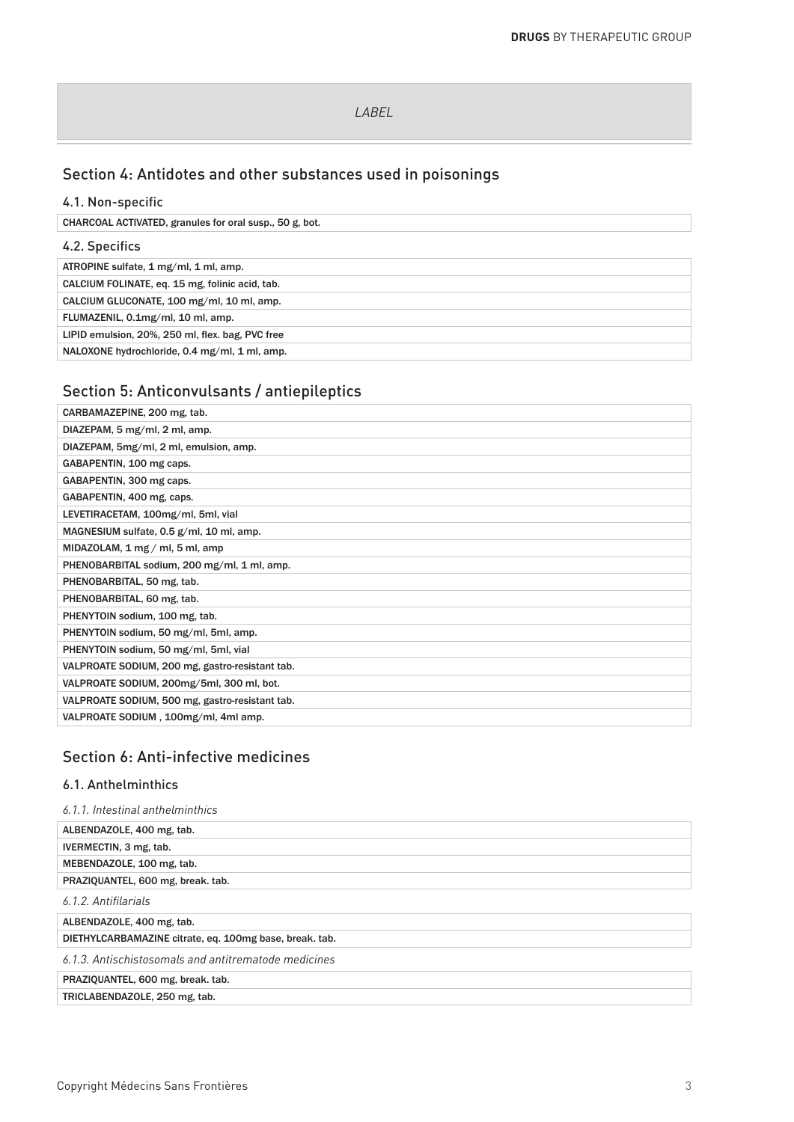# Section 4: Antidotes and other substances used in poisonings

### 4.1. Non-specific

CHARCOAL ACTIVATED, granules for oral susp., 50 g, bot.

### 4.2. Specifics

| ATROPINE sulfate, 1 mg/ml, 1 ml, amp.            |
|--------------------------------------------------|
| CALCIUM FOLINATE, eq. 15 mg, folinic acid, tab.  |
| CALCIUM GLUCONATE, 100 mg/ml, 10 ml, amp.        |
| FLUMAZENIL, 0.1mg/ml, 10 ml, amp.                |
| LIPID emulsion, 20%, 250 ml, flex. bag, PVC free |
| NALOXONE hydrochloride, 0.4 mg/ml, 1 ml, amp.    |
|                                                  |

# Section 5: Anticonvulsants / antiepileptics

| CARBAMAZEPINE, 200 mg, tab.                       |
|---------------------------------------------------|
| DIAZEPAM, 5 mg/ml, 2 ml, amp.                     |
| DIAZEPAM, 5mg/ml, 2 ml, emulsion, amp.            |
| GABAPENTIN, 100 mg caps.                          |
| GABAPENTIN, 300 mg caps.                          |
| GABAPENTIN, 400 mg, caps.                         |
| LEVETIRACETAM, 100mg/ml, 5ml, vial                |
| MAGNESIUM sulfate, 0.5 g/ml, 10 ml, amp.          |
| MIDAZOLAM, $1 \text{ mg} / \text{ml}$ , 5 ml, amp |
| PHENOBARBITAL sodium, 200 mg/ml, 1 ml, amp.       |
| PHENOBARBITAL, 50 mg, tab.                        |
| PHENOBARBITAL, 60 mg, tab.                        |
| PHENYTOIN sodium, 100 mg, tab.                    |
| PHENYTOIN sodium, 50 mg/ml, 5ml, amp.             |
| PHENYTOIN sodium, 50 mg/ml, 5ml, vial             |
| VALPROATE SODIUM, 200 mg, gastro-resistant tab.   |
| VALPROATE SODIUM, 200mg/5ml, 300 ml, bot.         |
| VALPROATE SODIUM, 500 mg, gastro-resistant tab.   |
| VALPROATE SODIUM, 100mg/ml, 4ml amp.              |
|                                                   |

# Section 6: Anti-infective medicines

### 6.1. Anthelminthics

| 6.1.1. Intestinal anthelminthics                        |
|---------------------------------------------------------|
| ALBENDAZOLE, 400 mg, tab.                               |
| IVERMECTIN, 3 mg, tab.                                  |
| MEBENDAZOLE, 100 mg, tab.                               |
| PRAZIQUANTEL, 600 mg, break. tab.                       |
| 6.1.2. Antifilarials                                    |
| ALBENDAZOLE, 400 mg, tab.                               |
| DIETHYLCARBAMAZINE citrate, eq. 100mg base, break. tab. |
| 6.1.3. Antischistosomals and antitrematode medicines    |
| PRAZIQUANTEL, 600 mg, break. tab.                       |
| TRICLABENDAZOLE, 250 mg, tab.                           |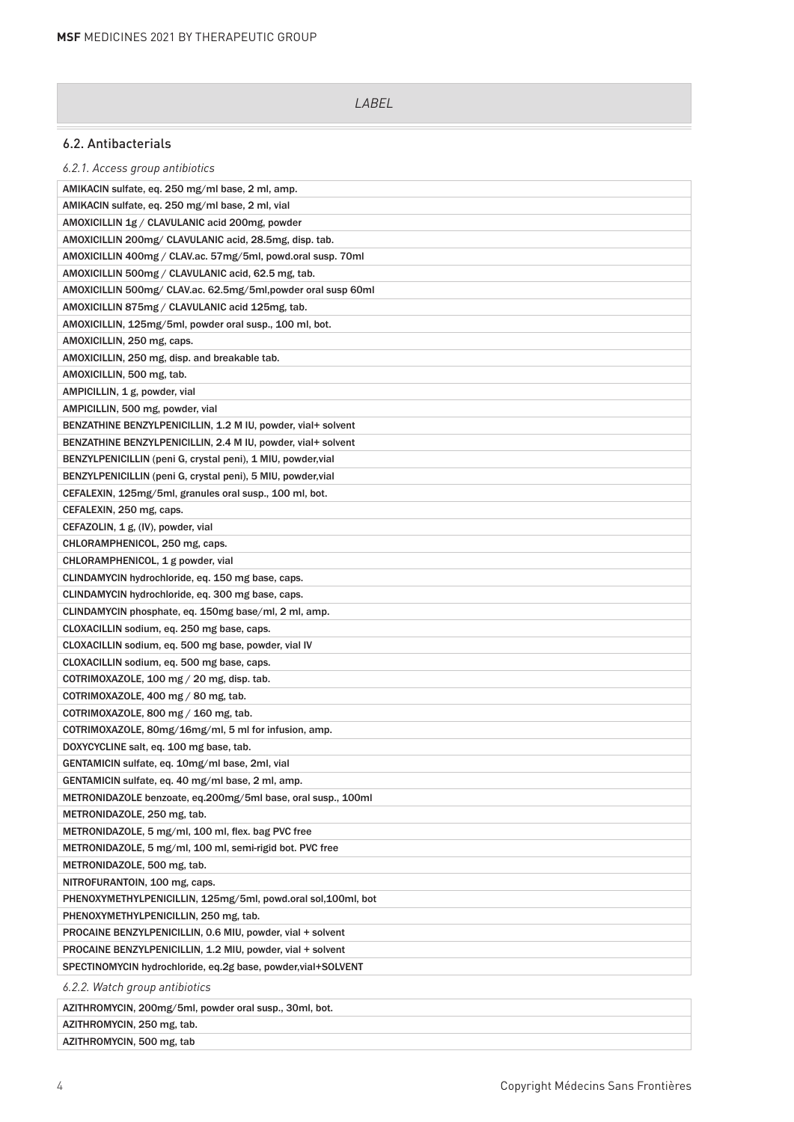### 6.2. Antibacterials

| 6.2.1. Access group antibiotics                               |
|---------------------------------------------------------------|
| AMIKACIN sulfate, eq. 250 mg/ml base, 2 ml, amp.              |
| AMIKACIN sulfate, eq. 250 mg/ml base, 2 ml, vial              |
| AMOXICILLIN 1g / CLAVULANIC acid 200mg, powder                |
| AMOXICILLIN 200mg/ CLAVULANIC acid, 28.5mg, disp. tab.        |
| AMOXICILLIN 400mg / CLAV.ac. 57mg/5ml, powd.oral susp. 70ml   |
| AMOXICILLIN 500mg / CLAVULANIC acid, 62.5 mg, tab.            |
| AMOXICILLIN 500mg/ CLAV.ac. 62.5mg/5ml,powder oral susp 60ml  |
| AMOXICILLIN 875mg / CLAVULANIC acid 125mg, tab.               |
| AMOXICILLIN, 125mg/5ml, powder oral susp., 100 ml, bot.       |
| AMOXICILLIN, 250 mg, caps.                                    |
| AMOXICILLIN, 250 mg, disp. and breakable tab.                 |
| AMOXICILLIN, 500 mg, tab.                                     |
| AMPICILLIN, 1 g, powder, vial                                 |
| AMPICILLIN, 500 mg, powder, vial                              |
| BENZATHINE BENZYLPENICILLIN, 1.2 M IU, powder, vial+ solvent  |
| BENZATHINE BENZYLPENICILLIN, 2.4 M IU, powder, vial+ solvent  |
| BENZYLPENICILLIN (peni G, crystal peni), 1 MIU, powder, vial  |
| BENZYLPENICILLIN (peni G, crystal peni), 5 MIU, powder, vial  |
| CEFALEXIN, 125mg/5ml, granules oral susp., 100 ml, bot.       |
| CEFALEXIN, 250 mg, caps.                                      |
| CEFAZOLIN, 1 g, (IV), powder, vial                            |
| CHLORAMPHENICOL, 250 mg, caps.                                |
| CHLORAMPHENICOL, 1 g powder, vial                             |
| CLINDAMYCIN hydrochloride, eq. 150 mg base, caps.             |
| CLINDAMYCIN hydrochloride, eq. 300 mg base, caps.             |
| CLINDAMYCIN phosphate, eq. 150mg base/ml, 2 ml, amp.          |
| CLOXACILLIN sodium, eq. 250 mg base, caps.                    |
| CLOXACILLIN sodium, eq. 500 mg base, powder, vial IV          |
| CLOXACILLIN sodium, eq. 500 mg base, caps.                    |
| COTRIMOXAZOLE, 100 mg / 20 mg, disp. tab.                     |
| COTRIMOXAZOLE, 400 mg / 80 mg, tab.                           |
| COTRIMOXAZOLE, 800 mg / 160 mg, tab.                          |
| COTRIMOXAZOLE, 80mg/16mg/ml, 5 ml for infusion, amp.          |
| DOXYCYCLINE salt, eq. 100 mg base, tab.                       |
| GENTAMICIN sulfate, eq. 10mg/ml base, 2ml, vial               |
| GENTAMICIN sulfate, eq. 40 mg/ml base, 2 ml, amp.             |
| METRONIDAZOLE benzoate, eq.200mg/5ml base, oral susp., 100ml  |
| METRONIDAZOLE, 250 mg, tab.                                   |
| METRONIDAZOLE, 5 mg/ml, 100 ml, flex. bag PVC free            |
| METRONIDAZOLE, 5 mg/ml, 100 ml, semi-rigid bot. PVC free      |
| METRONIDAZOLE, 500 mg, tab.                                   |
| NITROFURANTOIN, 100 mg, caps.                                 |
| PHENOXYMETHYLPENICILLIN, 125mg/5ml, powd.oral sol,100ml, bot  |
| PHENOXYMETHYLPENICILLIN, 250 mg, tab.                         |
| PROCAINE BENZYLPENICILLIN, 0.6 MIU, powder, vial + solvent    |
| PROCAINE BENZYLPENICILLIN, 1.2 MIU, powder, vial + solvent    |
| SPECTINOMYCIN hydrochloride, eq.2g base, powder, vial+SOLVENT |
| 6.2.2. Watch group antibiotics                                |
| AZITHROMYCIN, 200mg/5ml, powder oral susp., 30ml, bot.        |
| AZITHROMYCIN, 250 mg, tab.                                    |
| AZITHROMYCIN, 500 mg, tab                                     |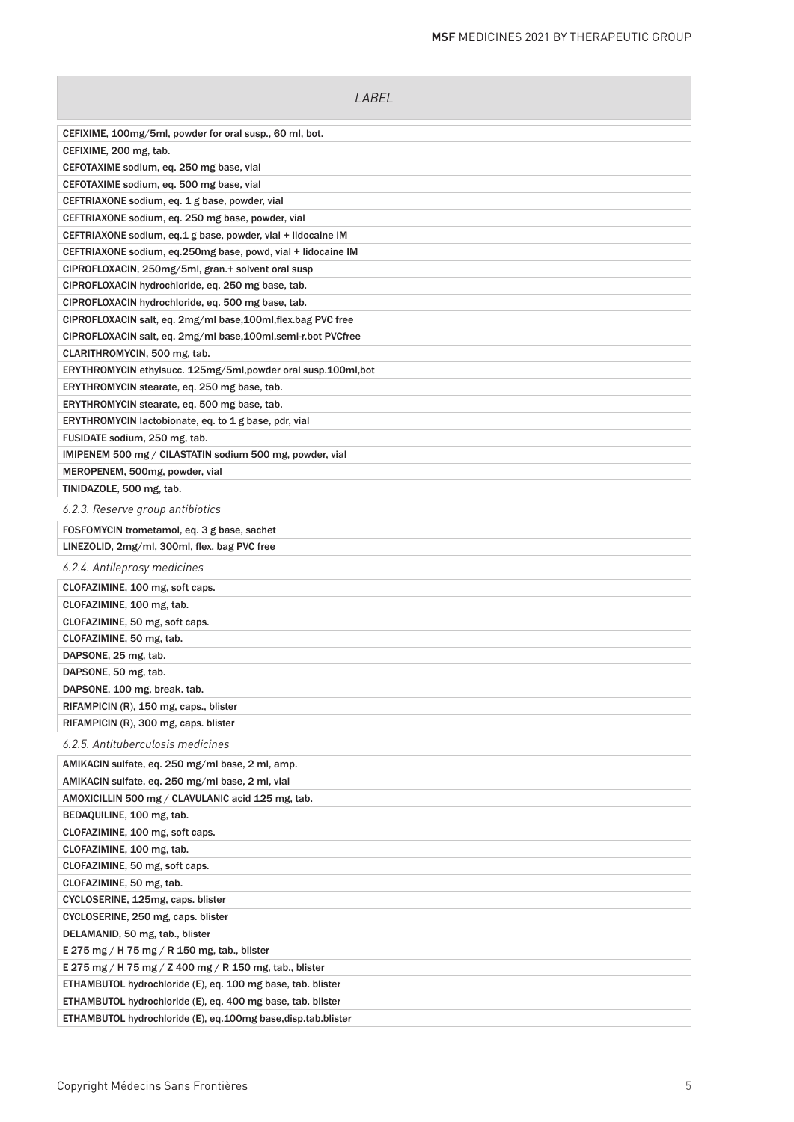| <i>LABEL</i>                                                   |
|----------------------------------------------------------------|
| CEFIXIME, 100mg/5ml, powder for oral susp., 60 ml, bot.        |
| CEFIXIME, 200 mg, tab.                                         |
| CEFOTAXIME sodium, eq. 250 mg base, vial                       |
| CEFOTAXIME sodium, eq. 500 mg base, vial                       |
| CEFTRIAXONE sodium, eq. 1 g base, powder, vial                 |
| CEFTRIAXONE sodium, eq. 250 mg base, powder, vial              |
| CEFTRIAXONE sodium, eq.1 g base, powder, vial + lidocaine IM   |
| CEFTRIAXONE sodium, eq.250mg base, powd, vial + lidocaine IM   |
| CIPROFLOXACIN, 250mg/5ml, gran.+ solvent oral susp             |
| CIPROFLOXACIN hydrochloride, eq. 250 mg base, tab.             |
| CIPROFLOXACIN hydrochloride, eq. 500 mg base, tab.             |
| CIPROFLOXACIN salt, eq. 2mg/ml base, 100ml, flex.bag PVC free  |
| CIPROFLOXACIN salt, eq. 2mg/ml base, 100ml, semi-r.bot PVCfree |
| CLARITHROMYCIN, 500 mg, tab.                                   |
| ERYTHROMYCIN ethylsucc. 125mg/5ml, powder oral susp.100ml, bot |
| ERYTHROMYCIN stearate, eq. 250 mg base, tab.                   |
| ERYTHROMYCIN stearate, eq. 500 mg base, tab.                   |
| ERYTHROMYCIN lactobionate, eq. to 1 g base, pdr, vial          |
| FUSIDATE sodium, 250 mg, tab.                                  |
| IMIPENEM 500 mg / CILASTATIN sodium 500 mg, powder, vial       |
| MEROPENEM, 500mg, powder, vial                                 |
| TINIDAZOLE, 500 mg, tab.                                       |
| 6.2.3. Reserve group antibiotics                               |
| FOSFOMYCIN trometamol, eq. 3 g base, sachet                    |
| LINEZOLID, 2mg/ml, 300ml, flex. bag PVC free                   |
| 6.2.4. Antileprosy medicines                                   |
| CLOFAZIMINE, 100 mg, soft caps.                                |
| CLOFAZIMINE, 100 mg, tab.                                      |
| CLOFAZIMINE, 50 mg, soft caps.                                 |
| CLOFAZIMINE, 50 mg, tab.                                       |
| DAPSONE, 25 mg, tab.                                           |
| DAPSONE, 50 mg, tab.                                           |
| DAPSONE, 100 mg, break. tab.                                   |
| RIFAMPICIN (R), 150 mg, caps., blister                         |
| RIFAMPICIN (R), 300 mg, caps. blister                          |
| 6.2.5. Antituberculosis medicines                              |
| AMIKACIN sulfate, eq. 250 mg/ml base, 2 ml, amp.               |
| AMIKACIN sulfate, eq. 250 mg/ml base, 2 ml, vial               |
| AMOXICILLIN 500 mg / CLAVULANIC acid 125 mg, tab.              |
| BEDAQUILINE, 100 mg, tab.                                      |
| CLOFAZIMINE, 100 mg, soft caps.                                |
| CLOFAZIMINE, 100 mg, tab.                                      |
| CLOFAZIMINE, 50 mg, soft caps.                                 |
| CLOFAZIMINE, 50 mg, tab.                                       |
| CYCLOSERINE, 125mg, caps. blister                              |
| CYCLOSERINE, 250 mg, caps. blister                             |
| DELAMANID, 50 mg, tab., blister                                |
| E 275 mg / H 75 mg / R 150 mg, tab., blister                   |
| E 275 mg / H 75 mg / Z 400 mg / R 150 mg, tab., blister        |
| ETHAMBUTOL hydrochloride (E), eq. 100 mg base, tab. blister    |
| ETHAMBUTOL hydrochloride (E), eq. 400 mg base, tab. blister    |
| ETHAMBUTOL hydrochloride (E), eq.100mg base, disp.tab.blister  |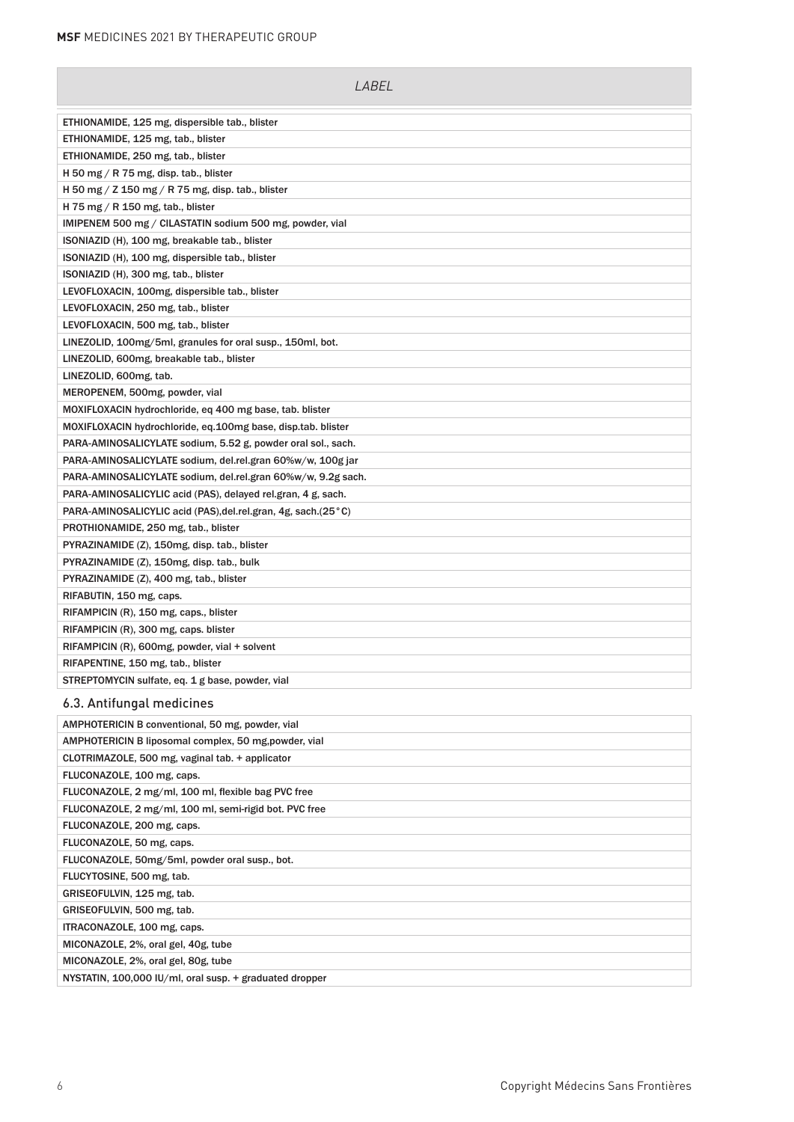| LABEL                                                           |
|-----------------------------------------------------------------|
| ETHIONAMIDE, 125 mg, dispersible tab., blister                  |
| ETHIONAMIDE, 125 mg, tab., blister                              |
| ETHIONAMIDE, 250 mg, tab., blister                              |
| H 50 mg $/$ R 75 mg, disp. tab., blister                        |
| H 50 mg / Z 150 mg / R 75 mg, disp. tab., blister               |
| H 75 mg $/$ R 150 mg, tab., blister                             |
| IMIPENEM 500 mg / CILASTATIN sodium 500 mg, powder, vial        |
| ISONIAZID (H), 100 mg, breakable tab., blister                  |
| ISONIAZID (H), 100 mg, dispersible tab., blister                |
| ISONIAZID (H), 300 mg, tab., blister                            |
| LEVOFLOXACIN, 100mg, dispersible tab., blister                  |
| LEVOFLOXACIN, 250 mg, tab., blister                             |
| LEVOFLOXACIN, 500 mg, tab., blister                             |
| LINEZOLID, 100mg/5ml, granules for oral susp., 150ml, bot.      |
| LINEZOLID, 600mg, breakable tab., blister                       |
| LINEZOLID, 600mg, tab.                                          |
| MEROPENEM, 500mg, powder, vial                                  |
| MOXIFLOXACIN hydrochloride, eq 400 mg base, tab. blister        |
| MOXIFLOXACIN hydrochloride, eq.100mg base, disp.tab. blister    |
| PARA-AMINOSALICYLATE sodium, 5.52 g, powder oral sol., sach.    |
| PARA-AMINOSALICYLATE sodium, del.rel.gran 60%w/w, 100g jar      |
| PARA-AMINOSALICYLATE sodium, del.rel.gran 60%w/w, 9.2g sach.    |
| PARA-AMINOSALICYLIC acid (PAS), delayed rel.gran, 4 g, sach.    |
| PARA-AMINOSALICYLIC acid (PAS), del.rel.gran, 4g, sach. (25 °C) |
| PROTHIONAMIDE, 250 mg, tab., blister                            |
| PYRAZINAMIDE (Z), 150mg, disp. tab., blister                    |
| PYRAZINAMIDE (Z), 150mg, disp. tab., bulk                       |
| PYRAZINAMIDE (Z), 400 mg, tab., blister                         |
| RIFABUTIN, 150 mg, caps.                                        |
| RIFAMPICIN (R), 150 mg, caps., blister                          |
| RIFAMPICIN (R), 300 mg, caps. blister                           |
| RIFAMPICIN (R), 600mg, powder, vial + solvent                   |
| RIFAPENTINE, 150 mg, tab., blister                              |
| STREPTOMYCIN sulfate, eq. 1 g base, powder, vial                |
| 6.3. Antifungal medicines                                       |
| AMPHOTERICIN B conventional, 50 mg, powder, vial                |
| AMPHOTERICIN B liposomal complex, 50 mg, powder, vial           |
| CLOTRIMAZOLE, 500 mg, vaginal tab. + applicator                 |

| AMPHOTERICIN B IIposomal complex, 50 mg, powder, vial   |
|---------------------------------------------------------|
| CLOTRIMAZOLE, 500 mg, vaginal tab. + applicator         |
| FLUCONAZOLE, 100 mg, caps.                              |
| FLUCONAZOLE, 2 mg/ml, 100 ml, flexible bag PVC free     |
| FLUCONAZOLE, 2 mg/ml, 100 ml, semi-rigid bot. PVC free  |
| FLUCONAZOLE, 200 mg, caps.                              |
| FLUCONAZOLE, 50 mg, caps.                               |
| FLUCONAZOLE, 50mg/5ml, powder oral susp., bot.          |
| FLUCYTOSINE, 500 mg, tab.                               |
| GRISEOFULVIN, 125 mg, tab.                              |
| GRISEOFULVIN, 500 mg, tab.                              |
| ITRACONAZOLE, 100 mg, caps.                             |
| MICONAZOLE, 2%, oral gel, 40g, tube                     |
| MICONAZOLE, 2%, oral gel, 80g, tube                     |
| NYSTATIN, 100,000 IU/ml, oral susp. + graduated dropper |
|                                                         |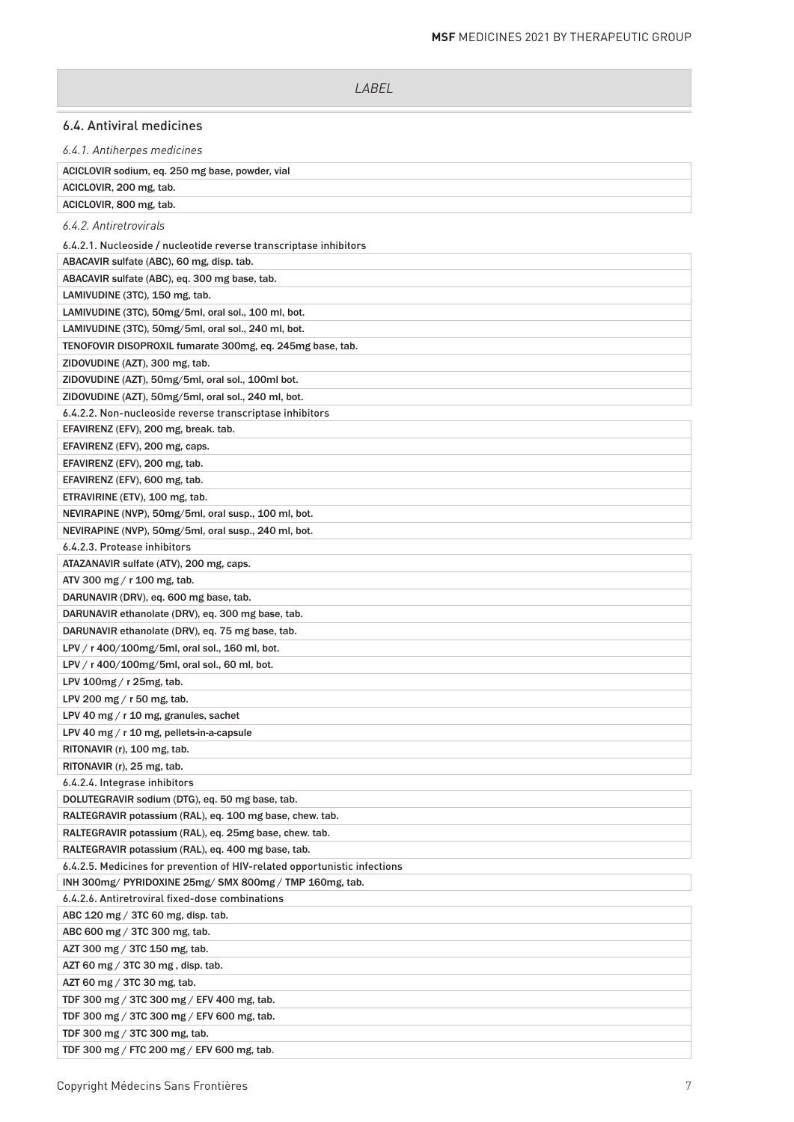# 6.4. Antiviral medicines

*6.4.1. Antiherpes medicines*

| ACICLOVIR sodium, eq. 250 mg base, powder, vial                           |
|---------------------------------------------------------------------------|
| ACICLOVIR, 200 mg, tab.                                                   |
| ACICLOVIR, 800 mg, tab.                                                   |
| 6.4.2. Antiretrovirals                                                    |
| 6.4.2.1. Nucleoside / nucleotide reverse transcriptase inhibitors         |
| ABACAVIR sulfate (ABC), 60 mg, disp. tab.                                 |
| ABACAVIR sulfate (ABC), eq. 300 mg base, tab.                             |
| LAMIVUDINE (3TC), 150 mg, tab.                                            |
| LAMIVUDINE (3TC), 50mg/5ml, oral sol., 100 ml, bot.                       |
| LAMIVUDINE (3TC), 50mg/5ml, oral sol., 240 ml, bot.                       |
| TENOFOVIR DISOPROXIL fumarate 300mg, eq. 245mg base, tab.                 |
| ZIDOVUDINE (AZT), 300 mg, tab.                                            |
| ZIDOVUDINE (AZT), 50mg/5ml, oral sol., 100ml bot.                         |
| ZIDOVUDINE (AZT), 50mg/5ml, oral sol., 240 ml, bot.                       |
| 6.4.2.2. Non-nucleoside reverse transcriptase inhibitors                  |
| EFAVIRENZ (EFV), 200 mg, break. tab.                                      |
| EFAVIRENZ (EFV), 200 mg, caps.                                            |
| EFAVIRENZ (EFV), 200 mg, tab.                                             |
| EFAVIRENZ (EFV), 600 mg, tab.                                             |
| ETRAVIRINE (ETV), 100 mg, tab.                                            |
| NEVIRAPINE (NVP), 50mg/5ml, oral susp., 100 ml, bot.                      |
| NEVIRAPINE (NVP), 50mg/5ml, oral susp., 240 ml, bot.                      |
| 6.4.2.3. Protease inhibitors                                              |
| ATAZANAVIR sulfate (ATV), 200 mg, caps.                                   |
| ATV 300 mg / r 100 mg, tab.                                               |
| DARUNAVIR (DRV), eq. 600 mg base, tab.                                    |
| DARUNAVIR ethanolate (DRV), eq. 300 mg base, tab.                         |
| DARUNAVIR ethanolate (DRV), eq. 75 mg base, tab.                          |
| LPV / r 400/100mg/5ml, oral sol., 160 ml, bot.                            |
| LPV / r 400/100mg/5ml, oral sol., 60 ml, bot.                             |
| LPV 100mg / r 25mg, tab.                                                  |
| LPV 200 mg / $r$ 50 mg, tab.                                              |
| LPV 40 mg $/$ r 10 mg, granules, sachet                                   |
| LPV 40 mg / r 10 mg, pellets-in-a-capsule                                 |
| RITONAVIR (r), 100 mg, tab.                                               |
| RITONAVIR (r), 25 mg, tab.                                                |
| 6.4.2.4. Integrase inhibitors                                             |
| DOLUTEGRAVIR sodium (DTG), eq. 50 mg base, tab.                           |
| RALTEGRAVIR potassium (RAL), eq. 100 mg base, chew. tab.                  |
| RALTEGRAVIR potassium (RAL), eq. 25mg base, chew. tab.                    |
| RALTEGRAVIR potassium (RAL), eq. 400 mg base, tab.                        |
| 6.4.2.5. Medicines for prevention of HIV-related opportunistic infections |
| INH 300mg/ PYRIDOXINE 25mg/ SMX 800mg / TMP 160mg, tab.                   |
| 6.4.2.6. Antiretroviral fixed-dose combinations                           |
| ABC 120 mg / 3TC 60 mg, disp. tab.                                        |
| ABC 600 mg / 3TC 300 mg, tab.                                             |
| AZT 300 mg / 3TC 150 mg, tab.                                             |
| AZT 60 mg / 3TC 30 mg, disp. tab.                                         |
| AZT 60 mg / 3TC 30 mg, tab.                                               |
| TDF 300 mg / 3TC 300 mg / EFV 400 mg, tab.                                |
| TDF 300 mg / 3TC 300 mg / EFV 600 mg, tab.                                |
| TDF 300 mg / 3TC 300 mg, tab.                                             |
| TDF 300 mg / FTC 200 mg / EFV 600 mg, tab.                                |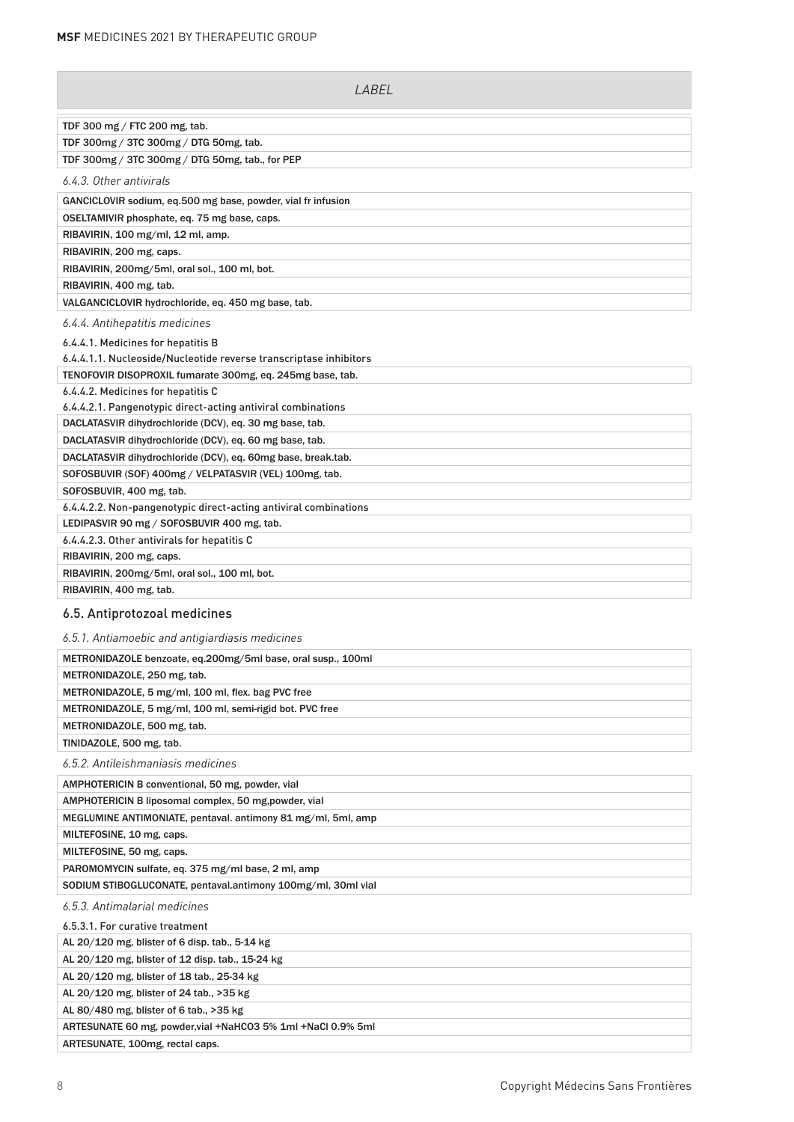| LABEL                                                             |
|-------------------------------------------------------------------|
| TDF 300 mg / FTC 200 mg, tab.                                     |
| TDF 300mg / 3TC 300mg / DTG 50mg, tab.                            |
| TDF 300mg / 3TC 300mg / DTG 50mg, tab., for PEP                   |
| 6.4.3. Other antivirals                                           |
| GANCICLOVIR sodium, eq.500 mg base, powder, vial fr infusion      |
| OSELTAMIVIR phosphate, eq. 75 mg base, caps.                      |
| RIBAVIRIN, 100 mg/ml, 12 ml, amp.                                 |
| RIBAVIRIN, 200 mg, caps.                                          |
| RIBAVIRIN, 200mg/5ml, oral sol., 100 ml, bot.                     |
| RIBAVIRIN, 400 mg, tab.                                           |
| VALGANCICLOVIR hydrochloride, eq. 450 mg base, tab.               |
| 6.4.4. Antihepatitis medicines                                    |
| 6.4.4.1. Medicines for hepatitis B                                |
| 6.4.4.1.1. Nucleoside/Nucleotide reverse transcriptase inhibitors |
| TENOFOVIR DISOPROXIL fumarate 300mg, eq. 245mg base, tab.         |
| 6.4.4.2. Medicines for hepatitis C                                |
| 6.4.4.2.1. Pangenotypic direct-acting antiviral combinations      |
| DACLATASVIR dihydrochloride (DCV), eq. 30 mg base, tab.           |
| DACLATASVIR dihydrochloride (DCV), eq. 60 mg base, tab.           |
| DACLATASVIR dihydrochloride (DCV), eq. 60mg base, break.tab.      |
| SOFOSBUVIR (SOF) 400mg / VELPATASVIR (VEL) 100mg, tab.            |
| SOFOSBUVIR, 400 mg, tab.                                          |
| 6.4.4.2.2. Non-pangenotypic direct-acting antiviral combinations  |
| LEDIPASVIR 90 mg / SOFOSBUVIR 400 mg, tab.                        |
| 6.4.4.2.3. Other antivirals for hepatitis C                       |
| RIBAVIRIN, 200 mg, caps.                                          |
| RIBAVIRIN, 200mg/5ml, oral sol., 100 ml, bot.                     |
| RIBAVIRIN, 400 mg, tab.                                           |
| 6.5. Antiprotozoal medicines                                      |

#### *6.5.1. Antiamoebic and antigiardiasis medicines*

| 0.9.1. Annamoebic and anniqual diasis medicines              |
|--------------------------------------------------------------|
| METRONIDAZOLE benzoate, eq.200mg/5ml base, oral susp., 100ml |
| METRONIDAZOLE, 250 mg, tab.                                  |
| METRONIDAZOLE, 5 mg/ml, 100 ml, flex. bag PVC free           |
| METRONIDAZOLE, 5 mg/ml, 100 ml, semi-rigid bot. PVC free     |
| METRONIDAZOLE, 500 mg, tab.                                  |
| TINIDAZOLE, 500 mg, tab.                                     |
| 6.5.2. Antileishmaniasis medicines                           |
| AMPHOTERICIN B conventional, 50 mg, powder, vial             |
| AMPHOTERICIN B liposomal complex, 50 mg, powder, vial        |
| MEGLUMINE ANTIMONIATE, pentaval. antimony 81 mg/ml, 5ml, amp |
| MILTEFOSINE, 10 mg, caps.                                    |
| MILTEFOSINE, 50 mg, caps.                                    |
| PAROMOMYCIN sulfate, eq. 375 mg/ml base, 2 ml, amp           |
| SODIUM STIBOGLUCONATE, pentaval.antimony 100mg/ml, 30ml vial |
| 6.5.3. Antimalarial medicines                                |
| 6.5.3.1. For curative treatment                              |
| AL 20/120 mg, blister of 6 disp. tab., 5-14 kg               |
| AL 20/120 mg, blister of 12 disp. tab., 15-24 kg             |
| AL 20/120 mg, blister of 18 tab., 25-34 kg                   |
| AL 20/120 mg, blister of 24 tab., >35 kg                     |
| AL 80/480 mg, blister of 6 tab., >35 kg                      |
| ARTESUNATE 60 mg, powder, vial +NaHCO3 5% 1ml +NaCl 0.9% 5ml |

ARTESUNATE, 100mg, rectal caps.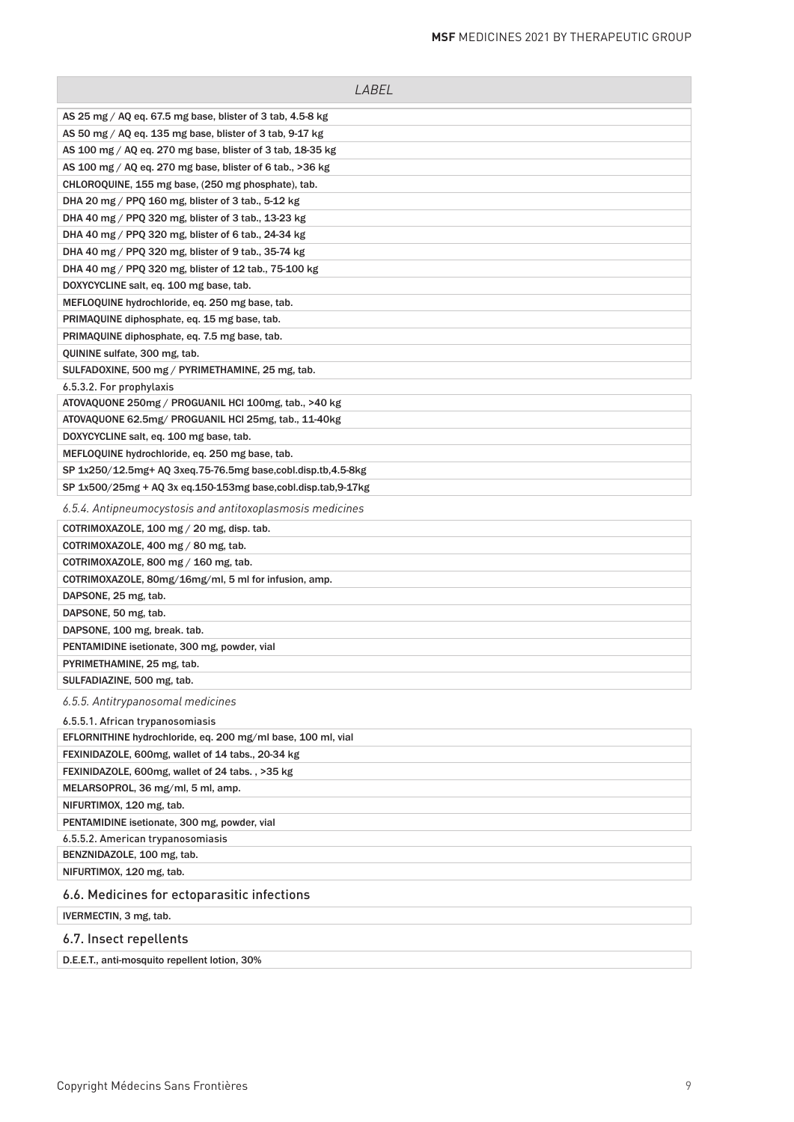| LABEL                                                        |
|--------------------------------------------------------------|
| AS 25 mg / AQ eq. 67.5 mg base, blister of 3 tab, 4.5-8 kg   |
| AS 50 mg / AQ eq. 135 mg base, blister of 3 tab, 9-17 kg     |
| AS 100 mg / AQ eq. 270 mg base, blister of 3 tab, 18-35 kg   |
| AS 100 mg / AQ eq. 270 mg base, blister of 6 tab., >36 kg    |
| CHLOROQUINE, 155 mg base, (250 mg phosphate), tab.           |
| DHA 20 mg / PPQ 160 mg, blister of 3 tab., 5-12 kg           |
| DHA 40 mg / PPQ 320 mg, blister of 3 tab., 13-23 kg          |
| DHA 40 mg / PPQ 320 mg, blister of 6 tab., 24-34 kg          |
| DHA 40 mg / PPQ 320 mg, blister of 9 tab., 35-74 kg          |
| DHA 40 mg / PPQ 320 mg, blister of 12 tab., 75-100 kg        |
| DOXYCYCLINE salt, eq. 100 mg base, tab.                      |
| MEFLOQUINE hydrochloride, eq. 250 mg base, tab.              |
| PRIMAQUINE diphosphate, eq. 15 mg base, tab.                 |
| PRIMAQUINE diphosphate, eq. 7.5 mg base, tab.                |
| QUININE sulfate, 300 mg, tab.                                |
| SULFADOXINE, 500 mg / PYRIMETHAMINE, 25 mg, tab.             |
| 6.5.3.2. For prophylaxis                                     |
| ATOVAQUONE 250mg / PROGUANIL HCI 100mg, tab., >40 kg         |
| ATOVAQUONE 62.5mg/ PROGUANIL HCI 25mg, tab., 11-40kg         |
| DOXYCYCLINE salt, eq. 100 mg base, tab.                      |
| MEFLOQUINE hydrochloride, eq. 250 mg base, tab.              |
| SP 1x250/12.5mg+ AQ 3xeq.75-76.5mg base,cobl.disp.tb,4.5-8kg |
| SP 1x500/25mg + AQ 3x eq.150-153mg base,cobl.disp.tab,9-17kg |
| 6.5.4. Antipneumocystosis and antitoxoplasmosis medicines    |
| COTRIMOXAZOLE, 100 mg / 20 mg, disp. tab.                    |
| COTRIMOXAZOLE, 400 mg / 80 mg, tab.                          |
| COTRIMOXAZOLE, 800 mg $/$ 160 mg, tab.                       |
| COTRIMOXAZOLE, 80mg/16mg/ml, 5 ml for infusion, amp.         |
| DAPSONE, 25 mg, tab.                                         |
| DAPSONE, 50 mg, tab.                                         |
| DAPSONE, 100 mg, break. tab.                                 |
| PENTAMIDINE isetionate, 300 mg, powder, vial                 |
| PYRIMETHAMINE, 25 mg, tab.                                   |
| SULFADIAZINE, 500 mg, tab.                                   |
| 6.5.5. Antitrypanosomal medicines                            |
| 6.5.5.1. African trypanosomiasis                             |
| EFLORNITHINE hydrochloride, eq. 200 mg/ml base, 100 ml, vial |
| FEXINIDAZOLE, 600mg, wallet of 14 tabs., 20-34 kg            |
| FEXINIDAZOLE, 600mg, wallet of 24 tabs., >35 kg              |
| MELARSOPROL, 36 mg/ml, 5 ml, amp.                            |
| NIFURTIMOX, 120 mg, tab.                                     |
| PENTAMIDINE isetionate, 300 mg, powder, vial                 |
| 6.5.5.2. American trypanosomiasis                            |
| BENZNIDAZOLE, 100 mg, tab.                                   |
| NIFURTIMOX, 120 mg, tab.                                     |
| 6.6. Medicines for ectoparasitic infections                  |
| IVERMECTIN, 3 mg, tab.                                       |
| 6.7. Insect repellents                                       |

D.E.E.T., anti-mosquito repellent lotion, 30%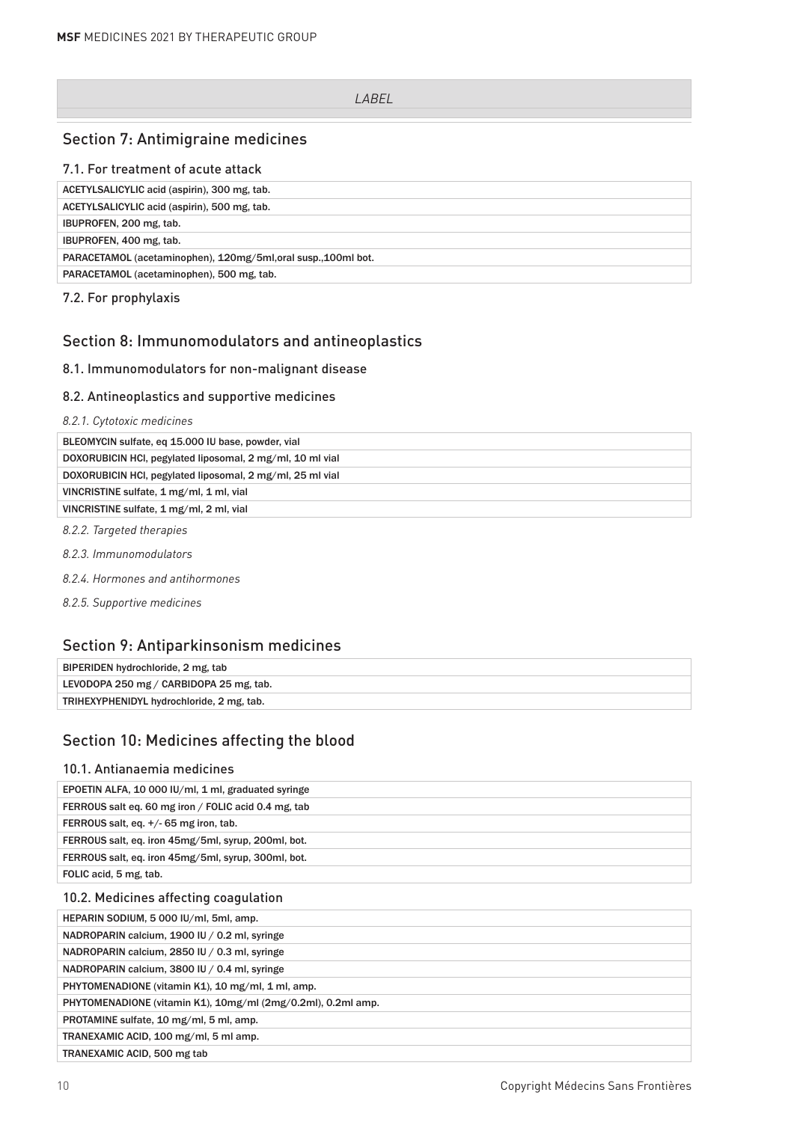### Section 7: Antimigraine medicines

### 7.1. For treatment of acute attack

| ACETYLSALICYLIC acid (aspirin), 300 mg, tab.                   |
|----------------------------------------------------------------|
| ACETYLSALICYLIC acid (aspirin), 500 mg, tab.                   |
| IBUPROFEN, 200 mg, tab.                                        |
| IBUPROFEN, 400 mg, tab.                                        |
| PARACETAMOL (acetaminophen), 120mg/5ml, oral susp., 100ml bot. |
| PARACETAMOL (acetaminophen), 500 mg, tab.                      |

7.2. For prophylaxis

# Section 8: Immunomodulators and antineoplastics

### 8.1. Immunomodulators for non-malignant disease

#### 8.2. Antineoplastics and supportive medicines

### *8.2.1. Cytotoxic medicines*

| BLEOMYCIN sulfate, eq 15.000 IU base, powder, vial        |
|-----------------------------------------------------------|
| DOXORUBICIN HCI, pegylated liposomal, 2 mg/ml, 10 ml vial |
| DOXORUBICIN HCI, pegylated liposomal, 2 mg/ml, 25 ml vial |
| VINCRISTINE sulfate, 1 mg/ml, 1 ml, vial                  |
| VINCRISTINE sulfate, 1 mg/ml, 2 ml, vial                  |
|                                                           |

*8.2.2. Targeted therapies*

- *8.2.3. Immunomodulators*
- *8.2.4. Hormones and antihormones*

*8.2.5. Supportive medicines*

## Section 9: Antiparkinsonism medicines

| BIPERIDEN hydrochloride, 2 mg, tab        |  |
|-------------------------------------------|--|
| LEVODOPA 250 mg / CARBIDOPA 25 mg, tab.   |  |
| TRIHEXYPHENIDYL hydrochloride, 2 mg, tab. |  |
|                                           |  |

# Section 10: Medicines affecting the blood

### 10.1. Antianaemia medicines

| EPOETIN ALFA, 10 000 IU/ml, 1 ml, graduated syringe          |
|--------------------------------------------------------------|
| FERROUS salt eq. 60 mg iron / FOLIC acid 0.4 mg, tab         |
| FERROUS salt, eq. +/- 65 mg iron, tab.                       |
| FERROUS salt, eq. iron 45mg/5ml, syrup, 200ml, bot.          |
| FERROUS salt, eq. iron 45mg/5ml, syrup, 300ml, bot.          |
| FOLIC acid, 5 mg, tab.                                       |
| 10.2. Medicines affecting coagulation                        |
| HEPARIN SODIUM, 5 000 IU/ml, 5ml, amp.                       |
| NADROPARIN calcium, 1900 IU / 0.2 ml, syringe                |
| NADROPARIN calcium, 2850 IU / 0.3 ml, syringe                |
| NADROPARIN calcium, 3800 IU / 0.4 ml, syringe                |
| PHYTOMENADIONE (vitamin K1), 10 mg/ml, 1 ml, amp.            |
| PHYTOMENADIONE (vitamin K1), 10mg/ml (2mg/0.2ml), 0.2ml amp. |
| PROTAMINE sulfate, 10 mg/ml, 5 ml, amp.                      |
| TRANEXAMIC ACID, 100 mg/ml, 5 ml amp.                        |
| TRANEXAMIC ACID, 500 mg tab                                  |
|                                                              |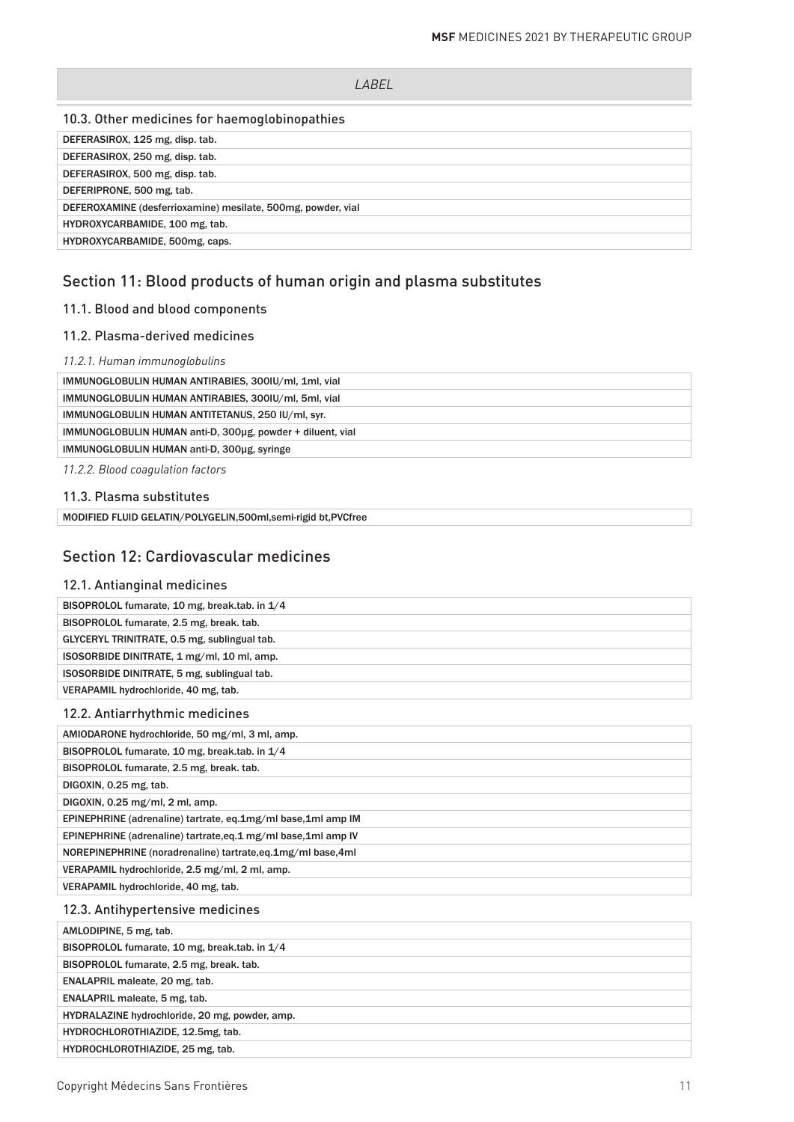### 10.3. Other medicines for haemoglobinopathies

| DEFERASIROX, 125 mg, disp. tab.                              |
|--------------------------------------------------------------|
| DEFERASIROX, 250 mg, disp. tab.                              |
| DEFERASIROX, 500 mg, disp. tab.                              |
| DEFERIPRONE, 500 mg, tab.                                    |
| DEFEROXAMINE (desferrioxamine) mesilate, 500mg, powder, vial |
| HYDROXYCARBAMIDE, 100 mg, tab.                               |
| HYDROXYCARBAMIDE, 500mg, caps.                               |

# Section 11: Blood products of human origin and plasma substitutes

# 11.1. Blood and blood components

### 11.2. Plasma-derived medicines

### *11.2.1. Human immunoglobulins*

| IMMUNOGLOBULIN HUMAN ANTIRABIES, 300IU/ml, 1ml, vial       |
|------------------------------------------------------------|
| IMMUNOGLOBULIN HUMAN ANTIRABIES, 300IU/ml, 5ml, vial       |
| IMMUNOGLOBULIN HUMAN ANTITETANUS, 250 IU/ml, syr.          |
| IMMUNOGLOBULIN HUMAN anti-D, 300ug, powder + diluent, vial |
| IMMUNOGLOBULIN HUMAN anti-D, 300ug, syringe                |
|                                                            |

*11.2.2. Blood coagulation factors*

### 11.3. Plasma substitutes

# Section 12: Cardiovascular medicines

| 12.1. Antianginal medicines                                  |
|--------------------------------------------------------------|
| BISOPROLOL fumarate, 10 mg, break.tab. in 1/4                |
| BISOPROLOL fumarate, 2.5 mg, break. tab.                     |
| GLYCERYL TRINITRATE, 0.5 mg, sublingual tab.                 |
| ISOSORBIDE DINITRATE, 1 mg/ml, 10 ml, amp.                   |
| ISOSORBIDE DINITRATE, 5 mg, sublingual tab.                  |
| VERAPAMIL hydrochloride, 40 mg, tab.                         |
| 12.2. Antiarrhythmic medicines                               |
| AMIODARONE hydrochloride, 50 mg/ml, 3 ml, amp.               |
| BISOPROLOL fumarate, 10 mg, break.tab. in 1/4                |
| BISOPROLOL fumarate, 2.5 mg, break. tab.                     |
| DIGOXIN, 0.25 mg, tab.                                       |
| DIGOXIN, 0.25 mg/ml, 2 ml, amp.                              |
| EPINEPHRINE (adrenaline) tartrate, eq.1mg/ml base,1ml amp IM |
| EPINEPHRINE (adrenaline) tartrate.eq.1 mg/ml base.1ml amp IV |
| NOREPINEPHRINE (noradrenaline) tartrate,eq.1mg/ml base,4ml   |
| VERAPAMIL hydrochloride, 2.5 mg/ml, 2 ml, amp.               |
| VERAPAMIL hydrochloride, 40 mg, tab.                         |
| 12.3. Antihypertensive medicines                             |
| AMLODIPINE, 5 mg, tab.                                       |
| BISOPROLOL fumarate, 10 mg, break.tab. in 1/4                |
| BISOPROLOL fumarate, 2.5 mg, break. tab.                     |
| ENALAPRIL maleate, 20 mg, tab.                               |
| ENALAPRIL maleate, 5 mg, tab.                                |
| HYDRALAZINE hydrochloride, 20 mg, powder, amp.               |
| HYDROCHLOROTHIAZIDE, 12.5mg, tab.                            |
| HYDROCHLOROTHIAZIDE, 25 mg, tab.                             |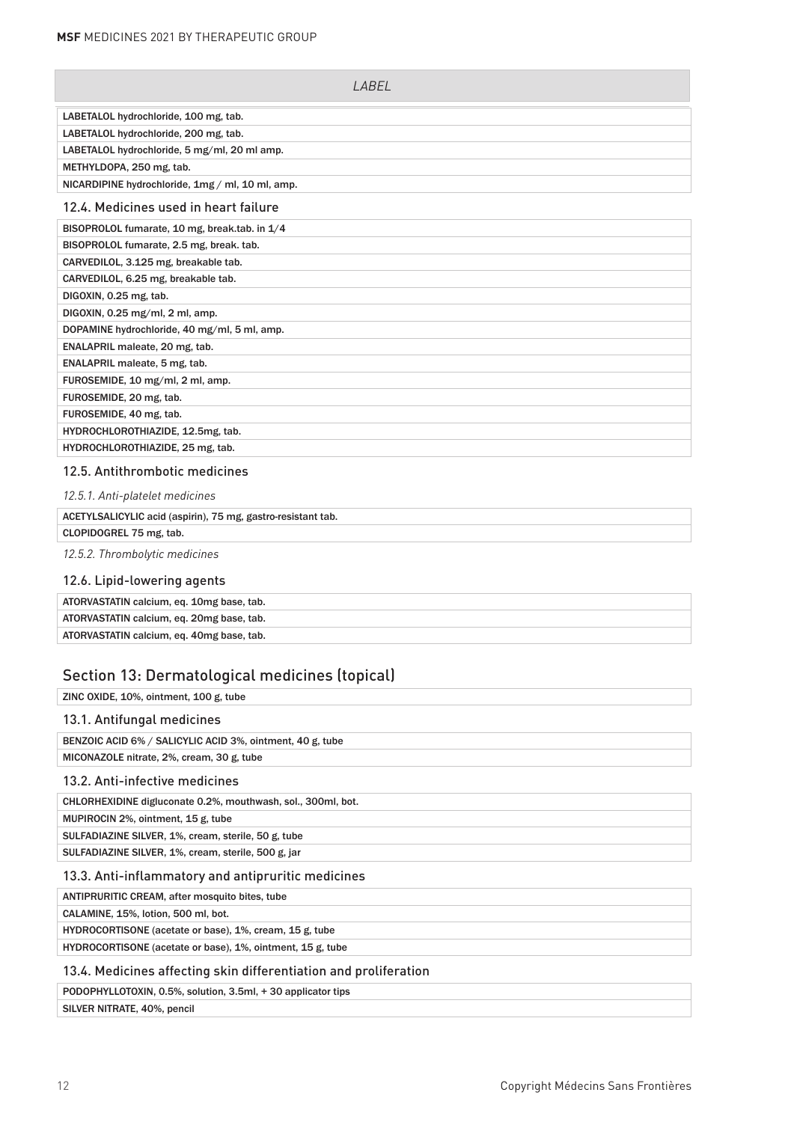| LABEL                                            |
|--------------------------------------------------|
| LABETALOL hydrochloride, 100 mg, tab.            |
| LABETALOL hydrochloride, 200 mg, tab.            |
| LABETALOL hydrochloride, 5 mg/ml, 20 ml amp.     |
| METHYLDOPA, 250 mg, tab.                         |
| NICARDIPINE hydrochloride, 1mg / ml, 10 ml, amp. |
| 12.4. Medicines used in heart failure            |
| BISOPROLOL fumarate, 10 mg, break.tab. in 1/4    |
| BISOPROLOL fumarate, 2.5 mg, break. tab.         |
| CARVEDILOL, 3.125 mg, breakable tab.             |
| CARVEDILOL, 6.25 mg, breakable tab.              |
| DIGOXIN, 0.25 mg, tab.                           |
| DIGOXIN, 0.25 mg/ml, 2 ml, amp.                  |
| DOPAMINE hydrochloride, 40 mg/ml, 5 ml, amp.     |
| ENALAPRIL maleate, 20 mg, tab.                   |
| ENALAPRIL maleate, 5 mg, tab.                    |
| FUROSEMIDE, 10 mg/ml, 2 ml, amp.                 |
| FUROSEMIDE, 20 mg, tab.                          |
| FUROSEMIDE, 40 mg, tab.                          |
| HYDROCHLOROTHIAZIDE, 12.5mg, tab.                |
| HYDROCHLOROTHIAZIDE, 25 mg, tab.                 |

#### 12.5. Antithrombotic medicines

| 12.5.1. Anti-platelet medicines                              |
|--------------------------------------------------------------|
| ACETYLSALICYLIC acid (aspirin), 75 mg, gastro-resistant tab. |
| CLOPIDOGREL 75 mg, tab.                                      |
| 12.5.2. Thrombolytic medicines                               |
| 12.6. Lipid-lowering agents                                  |

| ATORVASTATIN calcium, eq. 10mg base, tab. |
|-------------------------------------------|
| ATORVASTATIN calcium, eq. 20mg base, tab. |
| ATORVASTATIN calcium, eq. 40mg base, tab. |

# Section 13: Dermatological medicines (topical)

| ZINC OXIDE, 10%, ointment, 100 g, tube                           |
|------------------------------------------------------------------|
| 13.1. Antifungal medicines                                       |
| BENZOIC ACID 6% / SALICYLIC ACID 3%, ointment, 40 g, tube        |
| MICONAZOLE nitrate, 2%, cream, 30 g, tube                        |
| 13.2. Anti-infective medicines                                   |
| CHLORHEXIDINE digluconate 0.2%, mouthwash, sol., 300ml, bot.     |
| MUPIROCIN 2%, ointment, 15 g, tube                               |
| SULFADIAZINE SILVER, 1%, cream, sterile, 50 g, tube              |
| SULFADIAZINE SILVER, 1%, cream, sterile, 500 g, jar              |
| 13.3. Anti-inflammatory and antipruritic medicines               |
| ANTIPRURITIC CREAM, after mosquito bites, tube                   |
| CALAMINE, 15%, lotion, 500 ml, bot.                              |
| HYDROCORTISONE (acetate or base), 1%, cream, 15 g, tube          |
| HYDROCORTISONE (acetate or base), 1%, ointment, 15 g, tube       |
| 13.4. Medicines affecting skin differentiation and proliferation |

PODOPHYLLOTOXIN, 0.5%, solution, 3.5ml, + 30 applicator tips

SILVER NITRATE, 40%, pencil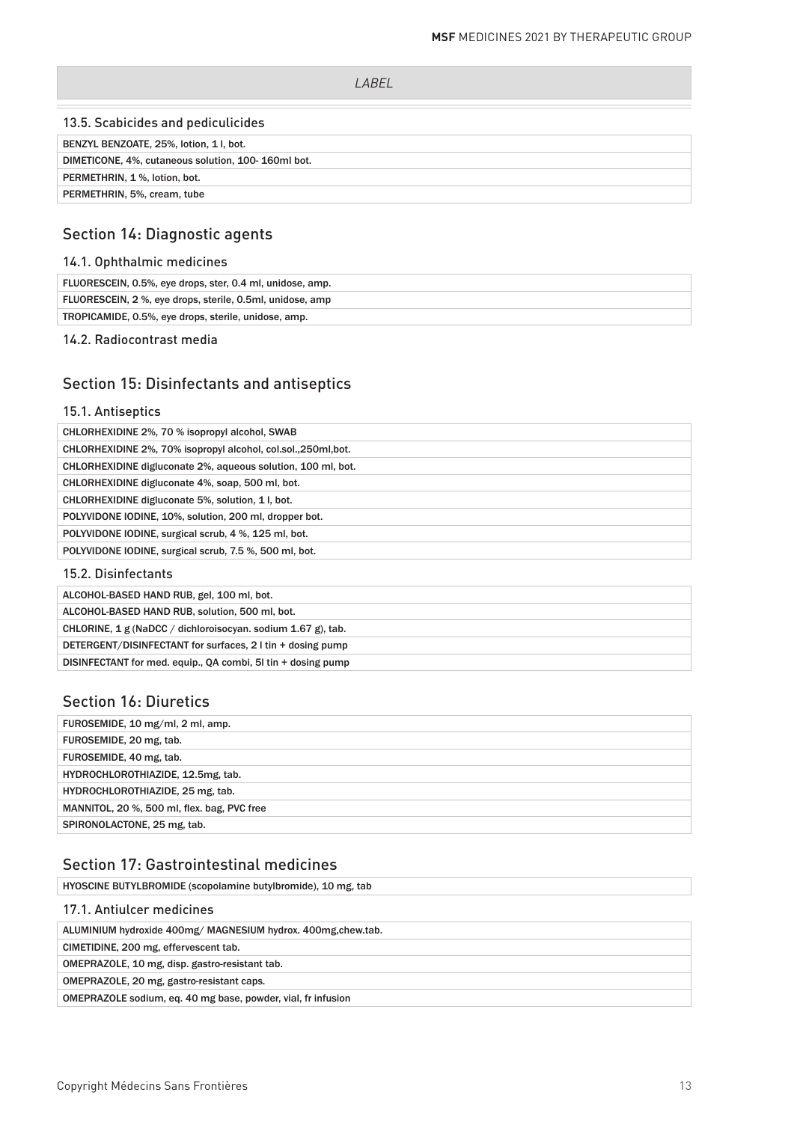| I ARFI                                             |  |
|----------------------------------------------------|--|
|                                                    |  |
| 13.5. Scabicides and pediculicides                 |  |
| BENZYL BENZOATE, 25%, lotion, 1 l, bot.            |  |
| DIMETICONE, 4%, cutaneous solution, 100-160ml bot. |  |
| PERMETHRIN, 1%, lotion, bot.                       |  |
| PERMETHRIN, 5%, cream, tube                        |  |

# Section 14: Diagnostic agents

### 14.1. Ophthalmic medicines

| FLUORESCEIN, 0.5%, eye drops, ster, 0.4 ml, unidose, amp. |
|-----------------------------------------------------------|
| FLUORESCEIN, 2 %, eye drops, sterile, 0.5ml, unidose, amp |
| TROPICAMIDE, 0.5%, eye drops, sterile, unidose, amp.      |
|                                                           |

14.2. Radiocontrast media

# Section 15: Disinfectants and antiseptics

### 15.1. Antiseptics

| CHLORHEXIDINE 2%, 70 % isopropyl alcohol, SWAB                 |
|----------------------------------------------------------------|
| CHLORHEXIDINE 2%, 70% isopropyl alcohol, col.sol., 250ml, bot. |
| CHLORHEXIDINE digluconate 2%, aqueous solution, 100 ml, bot.   |
| CHLORHEXIDINE digluconate 4%, soap, 500 ml, bot.               |
| CHLORHEXIDINE digluconate 5%, solution, 1, bot.                |
| POLYVIDONE IODINE, 10%, solution, 200 ml, dropper bot.         |
| POLYVIDONE IODINE, surgical scrub, 4 %, 125 ml, bot.           |
| POLYVIDONE IODINE, surgical scrub, 7.5 %, 500 ml, bot.         |
|                                                                |

#### 15.2. Disinfectants

| ALCOHOL-BASED HAND RUB, gel, 100 ml, bot.                    |
|--------------------------------------------------------------|
| ALCOHOL-BASED HAND RUB, solution, 500 ml, bot.               |
| CHLORINE, 1 g (NaDCC / dichloroisocyan. sodium 1.67 g), tab. |
| DETERGENT/DISINFECTANT for surfaces, 2 I tin + dosing pump   |
| DISINFECTANT for med. equip., QA combi, 51 tin + dosing pump |
|                                                              |

# Section 16: Diuretics

| FUROSEMIDE, 10 mg/ml, 2 ml, amp.            |
|---------------------------------------------|
| FUROSEMIDE, 20 mg, tab.                     |
| FUROSEMIDE, 40 mg, tab.                     |
| HYDROCHLOROTHIAZIDE, 12.5mg, tab.           |
| HYDROCHLOROTHIAZIDE, 25 mg, tab.            |
| MANNITOL, 20 %, 500 ml, flex. bag, PVC free |
| SPIRONOLACTONE, 25 mg, tab.                 |
|                                             |

# Section 17: Gastrointestinal medicines

HYOSCINE BUTYLBROMIDE (scopolamine butylbromide), 10 mg, tab

| 17.1. Antiulcer medicines                                    |
|--------------------------------------------------------------|
| ALUMINIUM hydroxide 400mg/ MAGNESIUM hydrox. 400mg.chew.tab. |
| CIMETIDINE, 200 mg, effervescent tab.                        |
| OMEPRAZOLE, 10 mg, disp. gastro-resistant tab.               |
| OMEPRAZOLE, 20 mg, gastro-resistant caps.                    |
| OMEPRAZOLE sodium, eq. 40 mg base, powder, vial, fr infusion |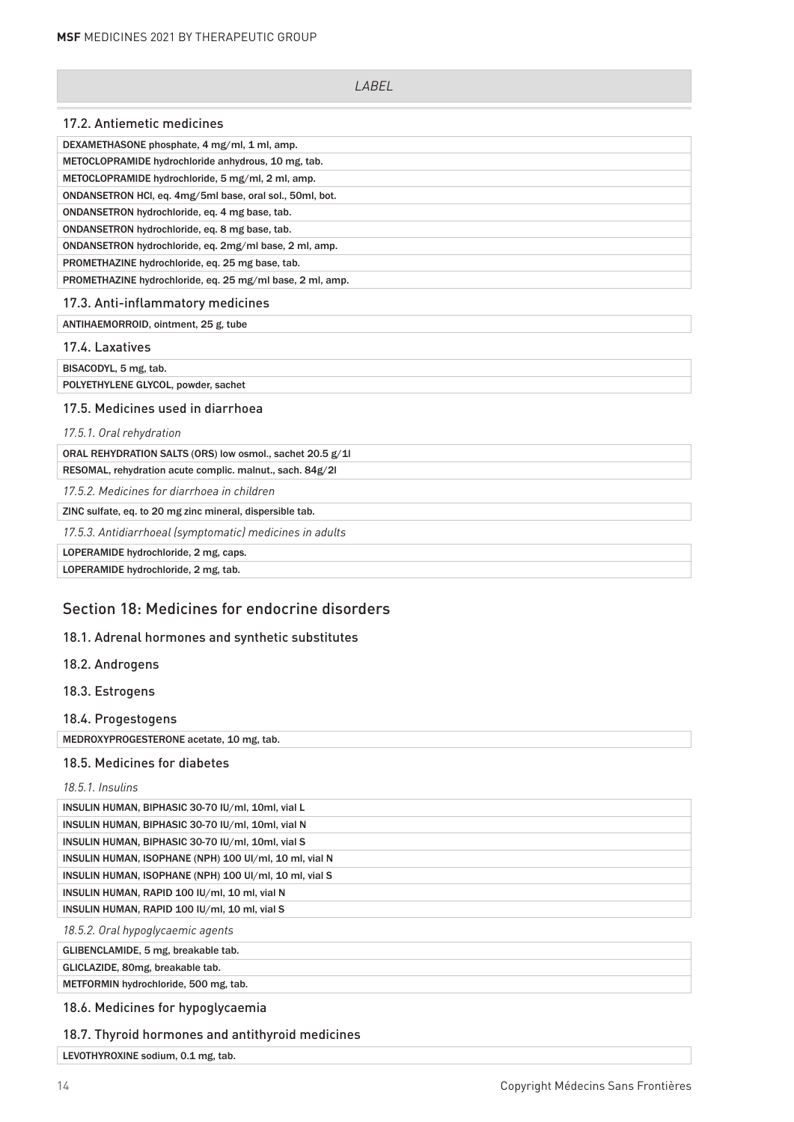| <i>LARFI</i>                                              |
|-----------------------------------------------------------|
| 17.2. Antiemetic medicines                                |
| DEXAMETHASONE phosphate, 4 mg/ml, 1 ml, amp.              |
| METOCLOPRAMIDE hydrochloride anhydrous, 10 mg, tab.       |
| METOCLOPRAMIDE hydrochloride, 5 mg/ml, 2 ml, amp.         |
| ONDANSETRON HCl, eq. 4mg/5ml base, oral sol., 50ml, bot.  |
| ONDANSETRON hydrochloride, eq. 4 mg base, tab.            |
| ONDANSETRON hydrochloride, eq. 8 mg base, tab.            |
| ONDANSETRON hydrochloride, eq. 2mg/ml base, 2 ml, amp.    |
| PROMETHAZINE hydrochloride, eq. 25 mg base, tab.          |
| PROMETHAZINE hydrochloride, eq. 25 mg/ml base, 2 ml, amp. |
| 17.3. Anti-inflammatory medicines                         |
| ANTIHAEMORROID, ointment, 25 g, tube                      |
| 17.4. Laxatives                                           |
| BISACODYL, 5 mg, tab.                                     |
| POLYETHYLENE GLYCOL, powder, sachet                       |
| 17.5. Medicines used in diarrhoea                         |
| 17.5.1. Oral rehydration                                  |
| ORAL REHYDRATION SALTS (ORS) low osmol., sachet 20.5 g/1l |
| RESOMAL, rehydration acute complic. malnut., sach. 84g/2l |
| 17.5.2. Medicines for diarrhoea in children               |
| ZINC sulfate, eq. to 20 mg zinc mineral, dispersible tab. |
| 17.5.3. Antidiarrhoeal (symptomatic) medicines in adults  |
| LOPERAMIDE hydrochloride, 2 mg, caps.                     |
| LOPERAMIDE hydrochloride, 2 mg, tab.                      |
|                                                           |

# Section 18: Medicines for endocrine disorders

### 18.1. Adrenal hormones and synthetic substitutes

- 18.2. Androgens
- 18.3. Estrogens
- 18.4. Progestogens

MEDROXYPROGESTERONE acetate, 10 mg, tab.

#### 18.5. Medicines for diabetes

### *18.5.1. Insulins*

| INSULIN HUMAN, BIPHASIC 30-70 IU/ml, 10ml, vial L      |
|--------------------------------------------------------|
| INSULIN HUMAN, BIPHASIC 30-70 IU/ml, 10ml, vial N      |
| INSULIN HUMAN, BIPHASIC 30-70 IU/ml, 10ml, vial S      |
| INSULIN HUMAN, ISOPHANE (NPH) 100 UI/ml, 10 ml, vial N |
| INSULIN HUMAN, ISOPHANE (NPH) 100 UI/ml, 10 ml, vial S |
| INSULIN HUMAN, RAPID 100 IU/ml, 10 ml, vial N          |
| INSULIN HUMAN, RAPID 100 IU/ml, 10 ml, vial S          |
| 18.5.2. Oral hypoglycaemic agents                      |

GLIBENCLAMIDE, 5 mg, breakable tab.

GLICLAZIDE, 80mg, breakable tab.

METFORMIN hydrochloride, 500 mg, tab.

#### 18.6. Medicines for hypoglycaemia

### 18.7. Thyroid hormones and antithyroid medicines

LEVOTHYROXINE sodium, 0.1 mg, tab.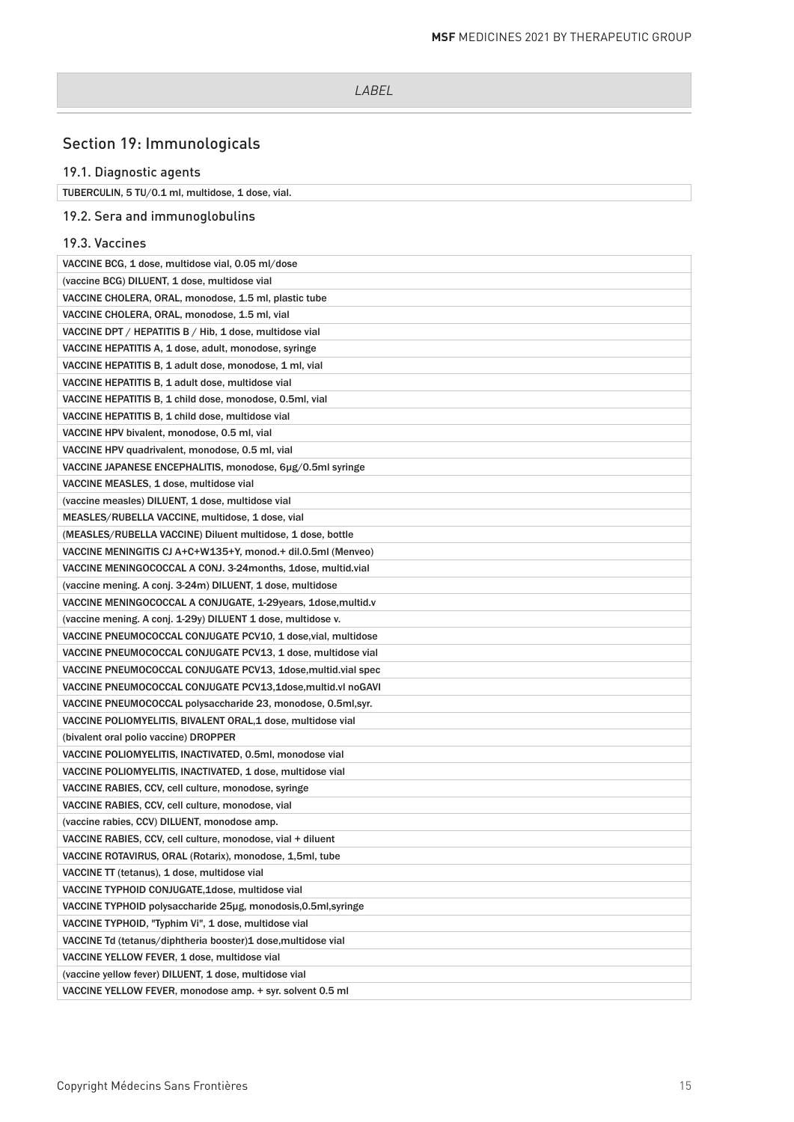# Section 19: Immunologicals

# 19.1. Diagnostic agents

| TUBERCULIN, 5 TU/0.1 ml, multidose, 1 dose, vial. |
|---------------------------------------------------|
| 19.2. Sera and immunoglobulins                    |

#### 19.3. Vaccines

| VACCINE BCG, 1 dose, multidose vial, 0.05 ml/dose               |
|-----------------------------------------------------------------|
| (vaccine BCG) DILUENT, 1 dose, multidose vial                   |
| VACCINE CHOLERA, ORAL, monodose, 1.5 ml, plastic tube           |
| VACCINE CHOLERA, ORAL, monodose, 1.5 ml, vial                   |
| VACCINE DPT / HEPATITIS B / Hib, 1 dose, multidose vial         |
| VACCINE HEPATITIS A, 1 dose, adult, monodose, syringe           |
| VACCINE HEPATITIS B, 1 adult dose, monodose, 1 ml, vial         |
| VACCINE HEPATITIS B, 1 adult dose, multidose vial               |
| VACCINE HEPATITIS B, 1 child dose, monodose, 0.5ml, vial        |
| VACCINE HEPATITIS B, 1 child dose, multidose vial               |
| VACCINE HPV bivalent, monodose, 0.5 ml, vial                    |
| VACCINE HPV quadrivalent, monodose, 0.5 ml, vial                |
| VACCINE JAPANESE ENCEPHALITIS, monodose, 6µg/0.5ml syringe      |
| VACCINE MEASLES, 1 dose, multidose vial                         |
| (vaccine measles) DILUENT, 1 dose, multidose vial               |
| MEASLES/RUBELLA VACCINE, multidose, 1 dose, vial                |
| (MEASLES/RUBELLA VACCINE) Diluent multidose, 1 dose, bottle     |
| VACCINE MENINGITIS CJ A+C+W135+Y, monod.+ dil.0.5ml (Menveo)    |
| VACCINE MENINGOCOCCAL A CONJ. 3-24 months, 1 dose, multid.vial  |
| (vaccine mening. A conj. 3-24m) DILUENT, 1 dose, multidose      |
| VACCINE MENINGOCOCCAL A CONJUGATE, 1-29 years, 1 dose, multid.v |
| (vaccine mening. A conj. 1-29y) DILUENT 1 dose, multidose v.    |
| VACCINE PNEUMOCOCCAL CONJUGATE PCV10, 1 dose, vial, multidose   |
| VACCINE PNEUMOCOCCAL CONJUGATE PCV13, 1 dose, multidose vial    |
| VACCINE PNEUMOCOCCAL CONJUGATE PCV13, 1dose, multid.vial spec   |
| VACCINE PNEUMOCOCCAL CONJUGATE PCV13,1dose, multid.vl noGAVI    |
| VACCINE PNEUMOCOCCAL polysaccharide 23, monodose, 0.5ml, syr.   |
| VACCINE POLIOMYELITIS, BIVALENT ORAL,1 dose, multidose vial     |
| (bivalent oral polio vaccine) DROPPER                           |
| VACCINE POLIOMYELITIS, INACTIVATED, 0.5ml, monodose vial        |
| VACCINE POLIOMYELITIS, INACTIVATED, 1 dose, multidose vial      |
| VACCINE RABIES, CCV, cell culture, monodose, syringe            |
| VACCINE RABIES, CCV, cell culture, monodose, vial               |
| (vaccine rabies, CCV) DILUENT, monodose amp.                    |
| VACCINE RABIES, CCV, cell culture, monodose, vial + diluent     |
| VACCINE ROTAVIRUS, ORAL (Rotarix), monodose, 1,5ml, tube        |
| VACCINE TT (tetanus), 1 dose, multidose vial                    |
| VACCINE TYPHOID CONJUGATE, 1dose, multidose vial                |
| VACCINE TYPHOID polysaccharide 25µg, monodosis, 0.5ml, syringe  |
| VACCINE TYPHOID, "Typhim Vi", 1 dose, multidose vial            |
| VACCINE Td (tetanus/diphtheria booster)1 dose, multidose vial   |
| VACCINE YELLOW FEVER, 1 dose, multidose vial                    |
| (vaccine yellow fever) DILUENT, 1 dose, multidose vial          |
| VACCINE YELLOW FEVER, monodose amp. + syr. solvent 0.5 ml       |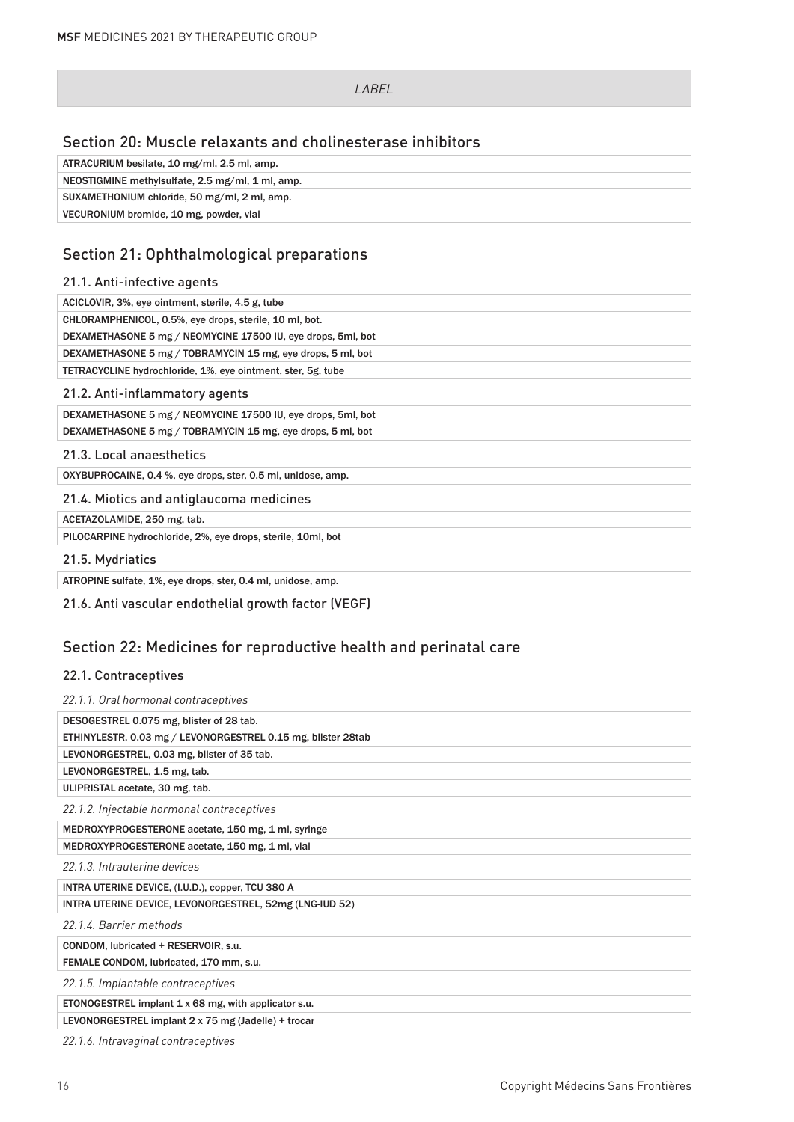# Section 20: Muscle relaxants and cholinesterase inhibitors

| ATRACURIUM besilate, 10 mg/ml, 2.5 ml, amp.      |
|--------------------------------------------------|
| NEOSTIGMINE methylsulfate, 2.5 mg/ml, 1 ml, amp. |
| SUXAMETHONIUM chloride, 50 mg/ml, 2 ml, amp.     |
| VECURONIUM bromide, 10 mg, powder, vial          |

# Section 21: Ophthalmological preparations

### 21.1. Anti-infective agents

| ACICLOVIR, 3%, eye ointment, sterile, 4.5 g, tube            |
|--------------------------------------------------------------|
| CHLORAMPHENICOL, 0.5%, eye drops, sterile, 10 ml, bot.       |
| DEXAMETHASONE 5 mg / NEOMYCINE 17500 IU, eye drops, 5ml, bot |
| DEXAMETHASONE 5 mg / TOBRAMYCIN 15 mg, eye drops, 5 ml, bot  |
| TETRACYCLINE hydrochloride, 1%, eye ointment, ster, 5g, tube |
| 21.2. Anti-inflammatory agents                               |
| DEXAMETHASONE 5 mg / NEOMYCINE 17500 IU, eye drops, 5ml, bot |
| DEXAMETHASONE 5 mg / TOBRAMYCIN 15 mg, eye drops, 5 ml, bot  |
| 21.3. Local anaesthetics                                     |
| OXYBUPROCAINE, 0.4 %, eye drops, ster, 0.5 ml, unidose, amp. |
| 21.4. Miotics and antiglaucoma medicines                     |
| ACETAZOLAMIDE, 250 mg, tab.                                  |
| PILOCARPINE hydrochloride, 2%, eye drops, sterile, 10ml, bot |
| 21.5. Mydriatics                                             |
|                                                              |

21.6. Anti vascular endothelial growth factor (VEGF)

# Section 22: Medicines for reproductive health and perinatal care

### 22.1. Contraceptives

| 22.1.1. Oral hormonal contraceptives                         |
|--------------------------------------------------------------|
| DESOGESTREL 0.075 mg, blister of 28 tab.                     |
| ETHINYLESTR. 0.03 mg / LEVONORGESTREL 0.15 mg, blister 28tab |
| LEVONORGESTREL, 0.03 mg, blister of 35 tab.                  |
| LEVONORGESTREL, 1.5 mg, tab.                                 |
| ULIPRISTAL acetate, 30 mg, tab.                              |
| 22.1.2. Injectable hormonal contraceptives                   |
| MEDROXYPROGESTERONE acetate, 150 mg, 1 ml, syringe           |
| MEDROXYPROGESTERONE acetate, 150 mg, 1 ml, vial              |
| 22.1.3. Intrauterine devices                                 |
| INTRA UTERINE DEVICE, (I.U.D.), copper, TCU 380 A            |
| INTRA UTERINE DEVICE, LEVONORGESTREL, 52mg (LNG-IUD 52)      |
| 22.1.4. Barrier methods                                      |
| CONDOM, lubricated + RESERVOIR, s.u.                         |
| FEMALE CONDOM, lubricated, 170 mm, s.u.                      |
| 22.1.5. Implantable contraceptives                           |
| ETONOGESTREL implant 1 x 68 mg, with applicator s.u.         |
| LEVONORGESTREL implant 2 x 75 mg (Jadelle) + trocar          |
|                                                              |

*22.1.6. Intravaginal contraceptives*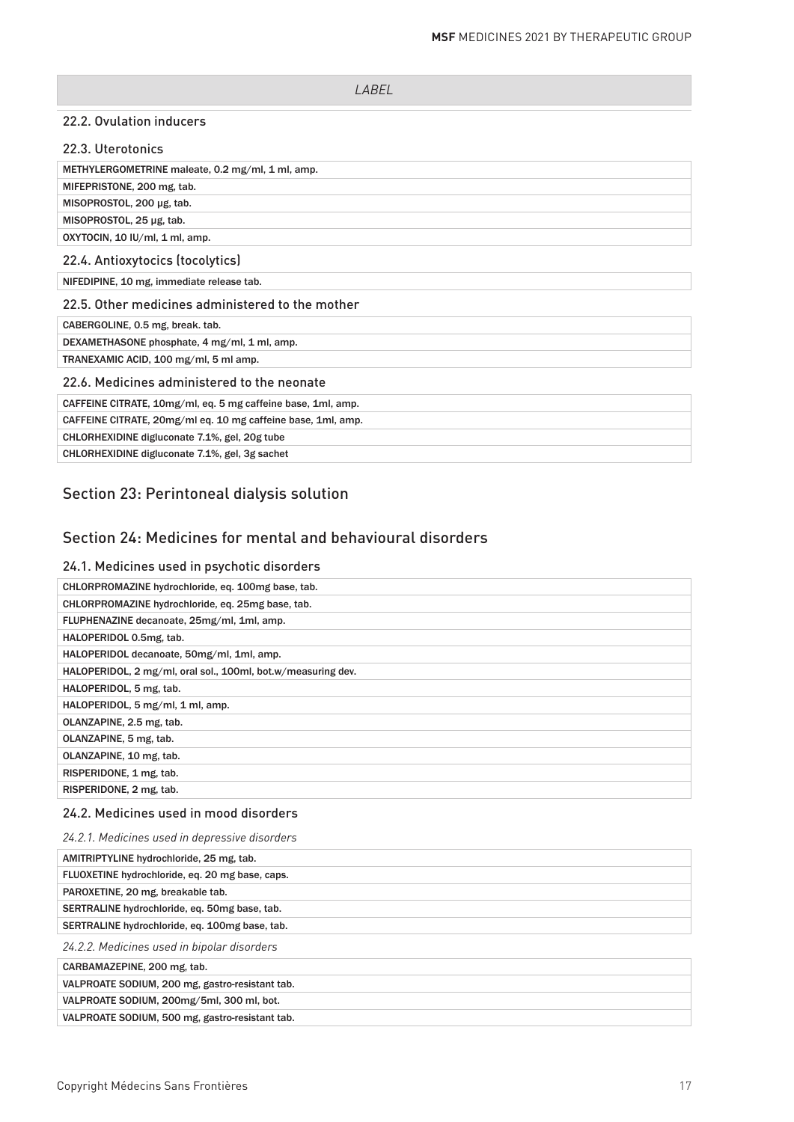#### 22.2. Ovulation inducers

| 22.3. Uterotonics                                            |
|--------------------------------------------------------------|
| METHYLERGOMETRINE maleate, 0.2 mg/ml, 1 ml, amp.             |
| MIFEPRISTONE, 200 mg, tab.                                   |
| MISOPROSTOL, 200 µg, tab.                                    |
| MISOPROSTOL, 25 µg, tab.                                     |
| OXYTOCIN, 10 IU/ml, 1 ml, amp.                               |
| 22.4. Antioxytocics (tocolytics)                             |
| NIFEDIPINE, 10 mg, immediate release tab.                    |
| 22.5. Other medicines administered to the mother             |
| CABERGOLINE, 0.5 mg, break. tab.                             |
| DEXAMETHASONE phosphate, 4 mg/ml, 1 ml, amp.                 |
| TRANEXAMIC ACID, 100 mg/ml, 5 ml amp.                        |
| 22.6. Medicines administered to the neonate                  |
| CAFFEINE CITRATE, 10mg/ml, eq. 5 mg caffeine base, 1ml, amp. |
| CAFFEINE CITRATE, 20mg/ml eq. 10 mg caffeine base, 1ml, amp. |
| CHLORHEXIDINE digluconate 7.1%, gel, 20g tube                |
| CHLORHEXIDINE digluconate 7.1%, gel, 3g sachet               |

# Section 23: Perintoneal dialysis solution

# Section 24: Medicines for mental and behavioural disorders

### 24.1. Medicines used in psychotic disorders

| CHLORPROMAZINE hydrochloride, eq. 100mg base, tab.           |
|--------------------------------------------------------------|
| CHLORPROMAZINE hydrochloride, eq. 25mg base, tab.            |
| FLUPHENAZINE decanoate, 25mg/ml, 1ml, amp.                   |
| HALOPERIDOL 0.5mg, tab.                                      |
| HALOPERIDOL decanoate, 50mg/ml, 1ml, amp.                    |
| HALOPERIDOL, 2 mg/ml, oral sol., 100ml, bot.w/measuring dev. |
| HALOPERIDOL, 5 mg, tab.                                      |
| HALOPERIDOL, 5 mg/ml, 1 ml, amp.                             |
| OLANZAPINE, 2.5 mg, tab.                                     |
| OLANZAPINE, 5 mg, tab.                                       |
| OLANZAPINE, 10 mg, tab.                                      |
| RISPERIDONE, 1 mg, tab.                                      |
| RISPERIDONE, 2 mg, tab.                                      |

# 24.2. Medicines used in mood disorders

| 24.2.1. Medicines used in depressive disorders  |
|-------------------------------------------------|
| AMITRIPTYLINE hydrochloride, 25 mg, tab.        |
| FLUOXETINE hydrochloride, eq. 20 mg base, caps. |
| PAROXETINE, 20 mg, breakable tab.               |
| SERTRALINE hydrochloride, eq. 50mg base, tab.   |
| SERTRALINE hydrochloride, eq. 100mg base, tab.  |
| 24.2.2. Medicines used in bipolar disorders     |
| CARBAMAZEPINE, 200 mg, tab.                     |
| VALPROATE SODIUM, 200 mg, gastro-resistant tab. |
| VALPROATE SODIUM, 200mg/5ml, 300 ml, bot.       |
| VALPROATE SODIUM, 500 mg, gastro-resistant tab. |
|                                                 |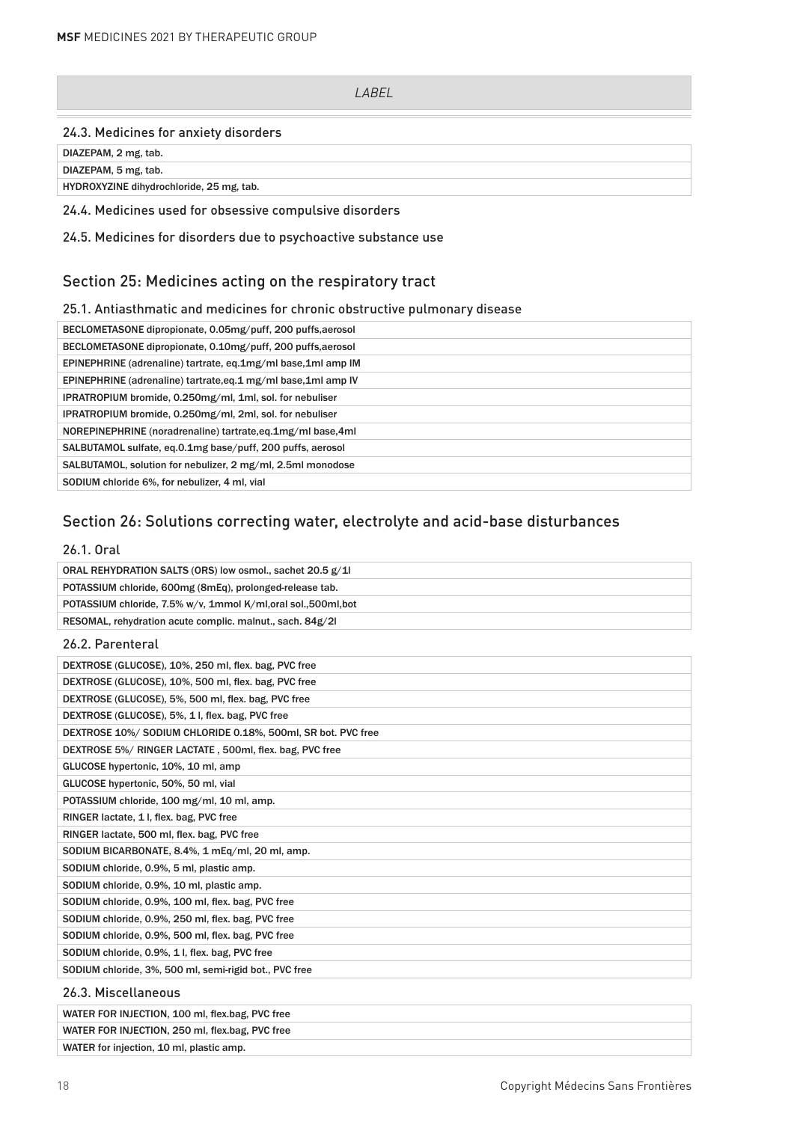#### 24.3. Medicines for anxiety disorders

DIAZEPAM, 2 mg, tab.

DIAZEPAM, 5 mg, tab.

HYDROXYZINE dihydrochloride, 25 mg, tab.

#### 24.4. Medicines used for obsessive compulsive disorders

24.5. Medicines for disorders due to psychoactive substance use

# Section 25: Medicines acting on the respiratory tract

### 25.1. Antiasthmatic and medicines for chronic obstructive pulmonary disease

| BECLOMETASONE dipropionate, 0.05mg/puff, 200 puffs, aerosol  |
|--------------------------------------------------------------|
| BECLOMETASONE dipropionate, 0.10mg/puff, 200 puffs, aerosol  |
| EPINEPHRINE (adrenaline) tartrate, eq.1mg/ml base,1ml amp IM |
| EPINEPHRINE (adrenaline) tartrate.eq.1 mg/ml base.1ml amp IV |
| IPRATROPIUM bromide, 0.250mg/ml, 1ml, sol. for nebuliser     |
| IPRATROPIUM bromide, 0.250mg/ml, 2ml, sol. for nebuliser     |
| NOREPINEPHRINE (noradrenaline) tartrate.eq.1mg/ml base.4ml   |
| SALBUTAMOL sulfate, eq.0.1mg base/puff, 200 puffs, aerosol   |
| SALBUTAMOL, solution for nebulizer, 2 mg/ml, 2.5ml monodose  |
| SODIUM chloride 6%, for nebulizer, 4 ml, vial                |

# Section 26: Solutions correcting water, electrolyte and acid-base disturbances

### 26.1. Oral

| ORAL REHYDRATION SALTS (ORS) low osmol., sachet 20.5 g/1        |
|-----------------------------------------------------------------|
| POTASSIUM chloride, 600mg (8mEq), prolonged-release tab.        |
| POTASSIUM chloride, 7.5% w/v, 1mmol K/ml, oral sol., 500ml, bot |
| RESOMAL, rehydration acute complic. malnut., sach. 84g/2l       |
| $0/0$ Dependent                                                 |

# 26.2. Parenteral

| DEXTROSE (GLUCOSE), 10%, 250 ml, flex. bag, PVC free         |
|--------------------------------------------------------------|
| DEXTROSE (GLUCOSE), 10%, 500 ml, flex. bag, PVC free         |
| DEXTROSE (GLUCOSE), 5%, 500 ml, flex. bag, PVC free          |
| DEXTROSE (GLUCOSE), 5%, 1 I, flex. bag, PVC free             |
| DEXTROSE 10%/ SODIUM CHLORIDE 0.18%, 500ml, SR bot. PVC free |
| DEXTROSE 5%/ RINGER LACTATE, 500ml, flex. bag, PVC free      |
| GLUCOSE hypertonic, 10%, 10 ml, amp                          |
| GLUCOSE hypertonic, 50%, 50 ml, vial                         |
| POTASSIUM chloride, 100 mg/ml, 10 ml, amp.                   |
| RINGER lactate, 1 l, flex. bag, PVC free                     |
| RINGER lactate, 500 ml, flex. bag, PVC free                  |
| SODIUM BICARBONATE, 8.4%, 1 mEq/ml, 20 ml, amp.              |
| SODIUM chloride, 0.9%, 5 ml, plastic amp.                    |
| SODIUM chloride, 0.9%, 10 ml, plastic amp.                   |
| SODIUM chloride, 0.9%, 100 ml, flex. bag, PVC free           |
| SODIUM chloride, 0.9%, 250 ml, flex. bag, PVC free           |
| SODIUM chloride, 0.9%, 500 ml, flex. bag, PVC free           |
| SODIUM chloride, 0.9%, 1 l, flex. bag, PVC free              |
| SODIUM chloride, 3%, 500 ml, semi-rigid bot., PVC free       |
| 26.3. Miscellaneous                                          |

WATER FOR INJECTION, 100 ml, flex.bag, PVC free WATER FOR INJECTION, 250 ml, flex.bag, PVC free WATER for injection, 10 ml, plastic amp.